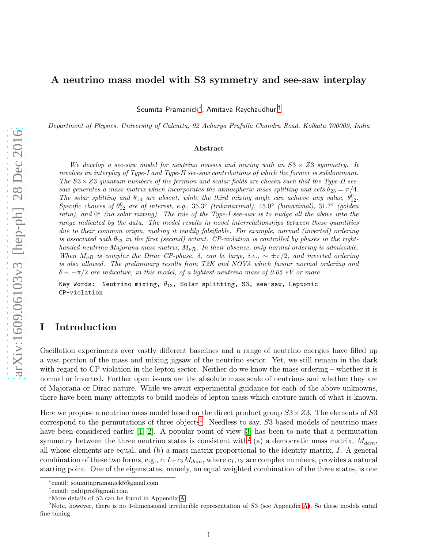## A neutrino mass model with S3 symmetry and see-saw interplay

Soumita Pramanick[∗](#page-0-0) , Amitava Raychaudhuri[†](#page-0-1)

Department of Physics, University of Calcutta, 92 Acharya Prafulla Chandra Road, Kolkata 700009, India

#### Abstract

We develop a see-saw model for neutrino masses and mixing with an  $S3 \times Z3$  symmetry. It involves an interplay of Type-I and Type-II see-saw contributions of which the former is subdominant. The  $S3 \times Z3$  quantum numbers of the fermion and scalar fields are chosen such that the Type-II seesaw generates a mass matrix which incorporates the atmospheric mass splitting and sets  $\theta_{23} = \pi/4$ . The solar splitting and  $\theta_{13}$  are absent, while the third mixing angle can achieve any value,  $\theta_{12}^0$ . Specific choices of  $\theta_{12}^0$  are of interest, e.g., 35.3° (tribimaximal), 45.0° (bimaximal), 31.7° (golden ratio), and 0° (no solar mixing). The role of the Type-I see-saw is to nudge all the above into the range indicated by the data. The model results in novel interrelationships between these quantities due to their common origin, making it readily falsifiable. For example, normal (inverted) ordering is associated with  $\theta_{23}$  in the first (second) octant. CP-violation is controlled by phases in the righthanded neutrino Majorana mass matrix,  $M_{\nu R}$ . In their absence, only normal ordering is admissible. When  $M_{\nu R}$  is complex the Dirac CP-phase,  $\delta$ , can be large, i.e.,  $\sim \pm \pi/2$ , and inverted ordering is also allowed. The preliminary results from T2K and NOVA which favour normal ordering and  $\delta \sim -\pi/2$  are indicative, in this model, of a lightest neutrino mass of 0.05 eV or more.

Key Words: Neutrino mixing,  $\theta_{13}$ , Solar splitting, S3, see-saw, Leptonic CP-violation

## I Introduction

Oscillation experiments over vastly different baselines and a range of neutrino energies have filled up a vast portion of the mass and mixing jigsaw of the neutrino sector. Yet, we still remain in the dark with regard to CP-violation in the lepton sector. Neither do we know the mass ordering – whether it is normal or inverted. Further open issues are the absolute mass scale of neutrinos and whether they are of Majorana or Dirac nature. While we await experimental guidance for each of the above unknowns, there have been many attempts to build models of lepton mass which capture much of what is known.

Here we propose a neutrino mass model based on the direct product group  $S3\times Z3$ . The elements of S3 correspond to the permutations of three objects<sup>[1](#page-0-2)</sup>. Needless to say,  $S3$ -based models of neutrino mass have been considered earlier [\[1,](#page-21-0) [2\]](#page-21-1). A popular point of view [\[3\]](#page-21-2) has been to note that a permutation symmetry between the three neutrino states is consistent with<sup>[2](#page-0-3)</sup> (a) a democratic mass matrix,  $M_{dem}$ , all whose elements are equal, and (b) a mass matrix proportional to the identity matrix, I. A general combination of these two forms, e.g.,  $c_1I+c_2M_{dem}$ , where  $c_1, c_2$  are complex numbers, provides a natural starting point. One of the eigenstates, namely, an equal weighted combination of the three states, is one

<sup>∗</sup> email: soumitapramanick5@gmail.com

<span id="page-0-0"></span><sup>†</sup> email: palitprof@gmail.com

<span id="page-0-2"></span><span id="page-0-1"></span><sup>&</sup>lt;sup>1</sup>More details of  $S3$  can be found in Appendix [A.](#page-14-0)

<span id="page-0-3"></span><sup>&</sup>lt;sup>2</sup>Note, however, there is no 3-dimensional irreducible representation of  $S3$  (see Appendix [A\)](#page-14-0). So these models entail fine tuning.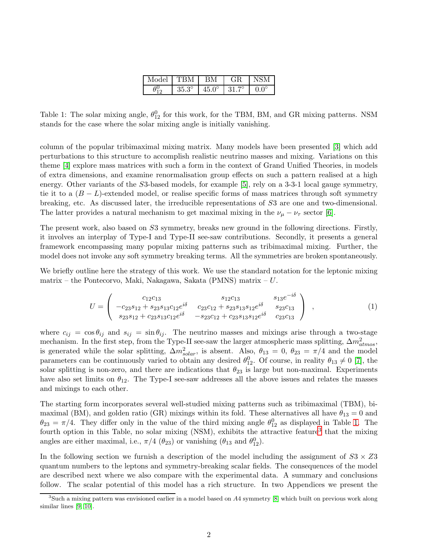| Model | <b>TRM</b>   | ВM           | GR           | NSM         |
|-------|--------------|--------------|--------------|-------------|
|       | $35.3^\circ$ | $45.0^\circ$ | $31.7^\circ$ | $0.0^\circ$ |

<span id="page-1-0"></span>Table 1: The solar mixing angle,  $\theta_{12}^0$  for this work, for the TBM, BM, and GR mixing patterns. NSM stands for the case where the solar mixing angle is initially vanishing.

column of the popular tribimaximal mixing matrix. Many models have been presented [\[3\]](#page-21-2) which add perturbations to this structure to accomplish realistic neutrino masses and mixing. Variations on this theme [\[4\]](#page-21-3) explore mass matrices with such a form in the context of Grand Unified Theories, in models of extra dimensions, and examine renormalisation group effects on such a pattern realised at a high energy. Other variants of the S3-based models, for example [\[5\]](#page-21-4), rely on a 3-3-1 local gauge symmetry, tie it to a  $(B - L)$ -extended model, or realise specific forms of mass matrices through soft symmetry breaking, etc. As discussed later, the irreducible representations of S3 are one and two-dimensional. The latter provides a natural mechanism to get maximal mixing in the  $\nu_{\mu} - \nu_{\tau}$  sector [\[6\]](#page-21-5).

The present work, also based on S3 symmetry, breaks new ground in the following directions. Firstly, it involves an interplay of Type-I and Type-II see-saw contributions. Secondly, it presents a general framework encompassing many popular mixing patterns such as tribimaximal mixing. Further, the model does not invoke any soft symmetry breaking terms. All the symmetries are broken spontaneously.

We briefly outline here the strategy of this work. We use the standard notation for the leptonic mixing matrix – the Pontecorvo, Maki, Nakagawa, Sakata (PMNS) matrix – U.

$$
U = \begin{pmatrix} c_{12}c_{13} & s_{12}c_{13} & s_{13}e^{-i\delta} \\ -c_{23}s_{12} + s_{23}s_{13}c_{12}e^{i\delta} & c_{23}c_{12} + s_{23}s_{13}s_{12}e^{i\delta} & s_{23}c_{13} \\ s_{23}s_{12} + c_{23}s_{13}c_{12}e^{i\delta} & -s_{23}c_{12} + c_{23}s_{13}s_{12}e^{i\delta} & c_{23}c_{13} \end{pmatrix} , \qquad (1)
$$

where  $c_{ij} = \cos \theta_{ij}$  and  $s_{ij} = \sin \theta_{ij}$ . The neutrino masses and mixings arise through a two-stage mechanism. In the first step, from the Type-II see-saw the larger atmospheric mass splitting,  $\Delta m^2_{atmos}$ , is generated while the solar splitting,  $\Delta m_{solar}^2$ , is absent. Also,  $\theta_{13} = 0$ ,  $\theta_{23} = \pi/4$  and the model parameters can be continuously varied to obtain any desired  $\theta_{12}^0$ . Of course, in reality  $\theta_{13} \neq 0$  [\[7\]](#page-21-6), the solar splitting is non-zero, and there are indications that  $\theta_{23}$  is large but non-maximal. Experiments have also set limits on  $\theta_{12}$ . The Type-I see-saw addresses all the above issues and relates the masses and mixings to each other.

The starting form incorporates several well-studied mixing patterns such as tribimaximal (TBM), bimaximal (BM), and golden ratio (GR) mixings within its fold. These alternatives all have  $\theta_{13} = 0$  and  $\theta_{23} = \pi/4$ . They differ only in the value of the third mixing angle  $\theta_{12}^0$  as displayed in Table [1.](#page-1-0) The fourth option in this Table, no solar mixing (NSM), exhibits the attractive feature<sup>[3](#page-1-1)</sup> that the mixing angles are either maximal, i.e.,  $\pi/4$  ( $\theta_{23}$ ) or vanishing ( $\theta_{13}$  and  $\theta_{12}^0$ ).

In the following section we furnish a description of the model including the assignment of  $S3 \times Z3$ quantum numbers to the leptons and symmetry-breaking scalar fields. The consequences of the model are described next where we also compare with the experimental data. A summary and conclusions follow. The scalar potential of this model has a rich structure. In two Appendices we present the

<span id="page-1-1"></span> $3$ Such a mixing pattern was envisioned earlier in a model based on A4 symmetry [\[8\]](#page-21-7) which built on previous work along similar lines [\[9,](#page-21-8) [10\]](#page-21-9).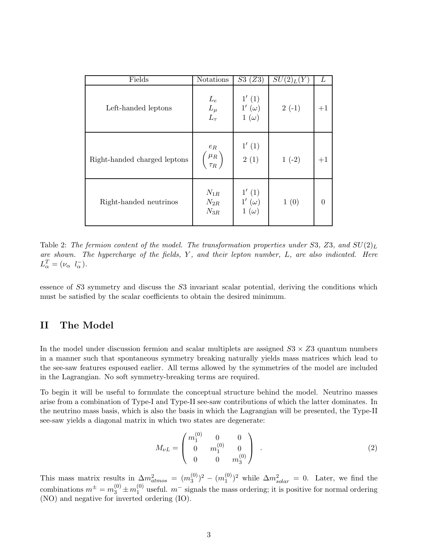| Fields                       | Notations                                | S3(Z3)                                 | $SU(2)_L(Y)$ | L    |
|------------------------------|------------------------------------------|----------------------------------------|--------------|------|
| Left-handed leptons          | $L_e$<br>$L_\mu$<br>$L_\tau$             | 1'(1)<br>$1'(\omega)$<br>$1(\omega)$   | $2(-1)$      | $+1$ |
| Right-handed charged leptons | $e_{\mathcal{R}}$<br>$\mu_R$<br>$\tau_R$ | 1'(1)<br>2(1)                          | $1(-2)$      | $+1$ |
| Right-handed neutrinos       | $N_{1R}$<br>$N_{2R}$<br>$N_{3R}$         | 1'(1)<br>$1'\ (\omega)$<br>$1(\omega)$ | 1(0)         |      |

<span id="page-2-0"></span>Table 2: The fermion content of the model. The transformation properties under S3, Z3, and  $SU(2)_L$ are shown. The hypercharge of the fields, Y, and their lepton number, L, are also indicated. Here  $L^T_{\alpha} = (\nu_{\alpha} \, l_{\alpha}^-).$ 

essence of S3 symmetry and discuss the S3 invariant scalar potential, deriving the conditions which must be satisfied by the scalar coefficients to obtain the desired minimum.

## II The Model

In the model under discussion fermion and scalar multiplets are assigned  $S_3 \times Z_3$  quantum numbers in a manner such that spontaneous symmetry breaking naturally yields mass matrices which lead to the see-saw features espoused earlier. All terms allowed by the symmetries of the model are included in the Lagrangian. No soft symmetry-breaking terms are required.

To begin it will be useful to formulate the conceptual structure behind the model. Neutrino masses arise from a combination of Type-I and Type-II see-saw contributions of which the latter dominates. In the neutrino mass basis, which is also the basis in which the Lagrangian will be presented, the Type-II see-saw yields a diagonal matrix in which two states are degenerate:

$$
M_{\nu L} = \begin{pmatrix} m_1^{(0)} & 0 & 0 \\ 0 & m_1^{(0)} & 0 \\ 0 & 0 & m_3^{(0)} \end{pmatrix} . \tag{2}
$$

This mass matrix results in  $\Delta m^2_{atmos} = (m_3^{(0)})$  $\binom{0}{3}^2 - \left(m_1^{(0)}\right)$  $(0)$ <sup>2</sup> while  $\Delta m_{solar}^2 = 0$ . Later, we find the combinations  $m^{\pm} = m_3^{(0)} \pm m_1^{(0)}$  $1<sup>(0)</sup>$  useful.  $m<sup>-</sup>$  signals the mass ordering; it is positive for normal ordering (NO) and negative for inverted ordering (IO).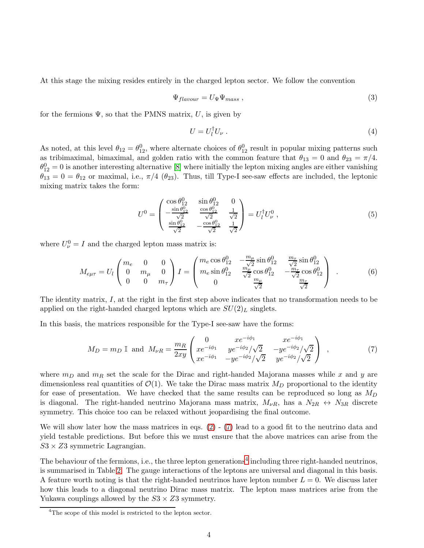At this stage the mixing resides entirely in the charged lepton sector. We follow the convention

$$
\Psi_{flavour} = U_{\Psi} \Psi_{mass} , \qquad (3)
$$

for the fermions  $\Psi$ , so that the PMNS matrix, U, is given by

$$
U = U_l^{\dagger} U_{\nu} \tag{4}
$$

As noted, at this level  $\theta_{12} = \theta_{12}^0$ , where alternate choices of  $\theta_{12}^0$  result in popular mixing patterns such as tribimaximal, bimaximal, and golden ratio with the common feature that  $\theta_{13} = 0$  and  $\theta_{23} = \pi/4$ .  $\theta_{12}^0 = 0$  is another interesting alternative [\[8\]](#page-21-7) where initially the lepton mixing angles are either vanishing  $\theta_{13} = 0 = \theta_{12}$  or maximal, i.e.,  $\pi/4$  ( $\theta_{23}$ ). Thus, till Type-I see-saw effects are included, the leptonic mixing matrix takes the form:

$$
U^{0} = \begin{pmatrix} \cos \theta_{12}^{0} & \sin \theta_{12}^{0} & 0\\ -\frac{\sin \theta_{12}^{0}}{\sqrt{2}} & \frac{\cos \theta_{12}^{0}}{\sqrt{2}} & \frac{1}{\sqrt{2}}\\ \frac{\sin \theta_{12}^{0}}{\sqrt{2}} & -\frac{\cos \theta_{12}^{0}}{\sqrt{2}} & \frac{1}{\sqrt{2}} \end{pmatrix} = U_{l}^{\dagger} U_{\nu}^{0} \,, \tag{5}
$$

where  $U^0_{\nu} = I$  and the charged lepton mass matrix is:

$$
M_{e\mu\tau} = U_l \begin{pmatrix} m_e & 0 & 0 \\ 0 & m_\mu & 0 \\ 0 & 0 & m_\tau \end{pmatrix} I = \begin{pmatrix} m_e \cos \theta_{12}^0 & -\frac{m_\mu}{\sqrt{2}} \sin \theta_{12}^0 & \frac{m_\tau}{\sqrt{2}} \sin \theta_{12}^0 \\ m_e \sin \theta_{12}^0 & \frac{m_\mu}{\sqrt{2}} \cos \theta_{12}^0 & -\frac{m_\tau}{\sqrt{2}} \cos \theta_{12}^0 \\ 0 & \frac{m_\mu}{\sqrt{2}} & \frac{m_\tau}{\sqrt{2}} \end{pmatrix} . \tag{6}
$$

The identity matrix, I, at the right in the first step above indicates that no transformation needs to be applied on the right-handed charged leptons which are  $SU(2)_L$  singlets.

In this basis, the matrices responsible for the Type-I see-saw have the forms:

$$
M_D = m_D \mathbb{I} \text{ and } M_{\nu R} = \frac{m_R}{2xy} \begin{pmatrix} 0 & xe^{-i\phi_1} & xe^{-i\phi_1} \\ xe^{-i\phi_1} & ye^{-i\phi_2}/\sqrt{2} & -ye^{-i\phi_2}/\sqrt{2} \\ xe^{-i\phi_1} & -ye^{-i\phi_2}/\sqrt{2} & ye^{-i\phi_2}/\sqrt{2} \end{pmatrix} ,
$$
 (7)

where  $m_D$  and  $m_R$  set the scale for the Dirac and right-handed Majorana masses while x and y are dimensionless real quantities of  $\mathcal{O}(1)$ . We take the Dirac mass matrix  $M_D$  proportional to the identity for ease of presentation. We have checked that the same results can be reproduced so long as  $M_D$ is diagonal. The right-handed neutrino Majorana mass matrix,  $M_{\nu R}$ , has a  $N_{2R} \leftrightarrow N_{3R}$  discrete symmetry. This choice too can be relaxed without jeopardising the final outcome.

We will show later how the mass matrices in eqs.  $(2)$  -  $(7)$  lead to a good fit to the neutrino data and yield testable predictions. But before this we must ensure that the above matrices can arise from the  $S3 \times Z3$  symmetric Lagrangian.

The behaviour of the fermions, i.e., the three lepton generations<sup>[4](#page-3-0)</sup> including three right-handed neutrinos, is summarised in Table [2.](#page-2-0) The gauge interactions of the leptons are universal and diagonal in this basis. A feature worth noting is that the right-handed neutrinos have lepton number  $L = 0$ . We discuss later how this leads to a diagonal neutrino Dirac mass matrix. The lepton mass matrices arise from the Yukawa couplings allowed by the  $S3 \times Z3$  symmetry.

<span id="page-3-0"></span><sup>&</sup>lt;sup>4</sup>The scope of this model is restricted to the lepton sector.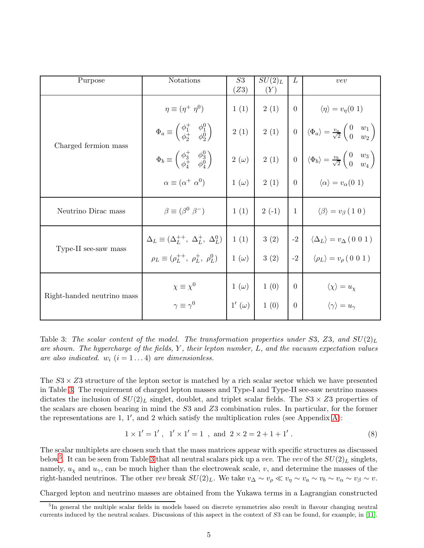| Purpose                    | Notations                                                                                | S3<br>(Z3)   | $SU(2)_L$<br>(Y) | L                | vev                                                                                                                |
|----------------------------|------------------------------------------------------------------------------------------|--------------|------------------|------------------|--------------------------------------------------------------------------------------------------------------------|
|                            | $\eta \equiv (\eta^+ \eta^0)$                                                            | 1(1)         | 2(1)             | $\overline{0}$   | $\langle \eta \rangle = v_{\eta}(0\; 1)$                                                                           |
|                            | $\Phi_a \equiv \begin{pmatrix} \phi_1^+ & \phi_1^0 \\ \phi_2^+ & \phi_2^0 \end{pmatrix}$ | 2(1)         | 2(1)             | $\boldsymbol{0}$ | $\bigg \ \left\langle \Phi_a \right\rangle = \frac{v_a}{\sqrt{2}} \begin{pmatrix} 0 & w_1 \ 0 & w_2 \end{pmatrix}$ |
| Charged fermion mass       | $\Phi_b \equiv \begin{pmatrix} \phi_3^+ & \phi_3^0 \\ \phi_4^+ & \phi_4^0 \end{pmatrix}$ |              | $2(\omega)$ 2(1) | $\overline{0}$   | $\left\langle \Phi_b \right\rangle = \frac{v_b}{\sqrt{2}} \begin{pmatrix} 0 & w_3 \ 0 & w_4 \end{pmatrix}$         |
|                            | $\alpha \equiv (\alpha^+ \ \alpha^0)$                                                    | $1(\omega)$  | 2(1)             | $0-1$            | $\langle \alpha \rangle = v_{\alpha}(0\ 1)$                                                                        |
| Neutrino Dirac mass        | $\beta \equiv (\beta^0 \beta^-)$                                                         | 1(1)         | $2(-1)$          | 1                | $\langle \beta \rangle = v_{\beta} (1 0)$                                                                          |
|                            | $\Delta_L \equiv (\Delta_L^{++}, \; \Delta_L^+, \; \Delta_L^0)$                          | 1(1)         | 3(2)             | $-2$             | $\langle \Delta_L \rangle = v_{\Delta} (0 0 1)$                                                                    |
| Type-II see-saw mass       | $\rho_L \equiv (\rho_L^{++}, \rho_L^+, \rho_L^0)$                                        | $1(\omega)$  | 3(2)             | $-2$             | $\langle \rho_L \rangle = v_\rho (0 0 1)$                                                                          |
| Right-handed neutrino mass | $\chi \equiv \chi^0$                                                                     | $1(\omega)$  | 1(0)             | $\Omega$         | $\langle \chi \rangle = u_{\chi}$                                                                                  |
|                            | $\gamma \equiv \gamma^0$                                                                 | $1'(\omega)$ | 1(0)             | $\overline{0}$   | $\langle \gamma \rangle = u_{\gamma}$                                                                              |

<span id="page-4-0"></span>Table 3: The scalar content of the model. The transformation properties under S3, Z3, and  $SU(2)_L$ are shown. The hypercharge of the fields,  $Y$ , their lepton number,  $L$ , and the vacuum expectation values are also indicated.  $w_i$   $(i = 1 \dots 4)$  are dimensionless.

The  $S_3 \times Z_3$  structure of the lepton sector is matched by a rich scalar sector which we have presented in Table [3.](#page-4-0) The requirement of charged lepton masses and Type-I and Type-II see-saw neutrino masses dictates the inclusion of  $SU(2)_L$  singlet, doublet, and triplet scalar fields. The  $S3 \times Z3$  properties of the scalars are chosen bearing in mind the S3 and Z3 combination rules. In particular, for the former the representations are 1, 1′ , and 2 which satisfy the multiplication rules (see Appendix [A\)](#page-14-0):

$$
1 \times 1' = 1'
$$
,  $1' \times 1' = 1$ , and  $2 \times 2 = 2 + 1 + 1'$ . (8)

The scalar multiplets are chosen such that the mass matrices appear with specific structures as discussed below<sup>[5](#page-4-1)</sup>. It can be seen from Table [3](#page-4-0) that all neutral scalars pick up a *vev*. The *vev* of the  $SU(2)_L$  singlets, namely,  $u<sub>\chi</sub>$  and  $u<sub>\gamma</sub>$ , can be much higher than the electroweak scale, v, and determine the masses of the right-handed neutrinos. The other vev break  $SU(2)_L$ . We take  $v_{\Delta} \sim v_{\rho} \ll v_{\eta} \sim v_a \sim v_b \sim v_{\alpha} \sim v_{\beta} \sim v$ .

Charged lepton and neutrino masses are obtained from the Yukawa terms in a Lagrangian constructed

<span id="page-4-1"></span><sup>&</sup>lt;sup>5</sup>In general the multiple scalar fields in models based on discrete symmetries also result in flavour changing neutral currents induced by the neutral scalars. Discussions of this aspect in the context of S3 can be found, for example, in [\[11\]](#page-21-10).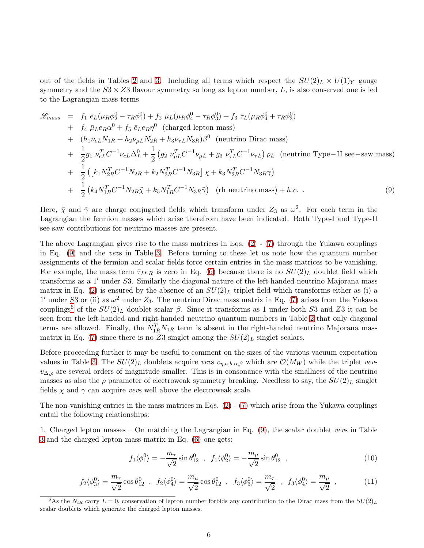out of the fields in Tables [2](#page-2-0) and [3.](#page-4-0) Including all terms which respect the  $SU(2)_L \times U(1)_Y$  gauge symmetry and the  $S3 \times Z3$  flavour symmetry so long as lepton number, L, is also conserved one is led to the Lagrangian mass terms

$$
\mathcal{L}_{mass} = f_1 \bar{e}_L(\mu_R \phi_2^0 - \tau_R \phi_1^0) + f_2 \bar{\mu}_L(\mu_R \phi_4^0 - \tau_R \phi_3^0) + f_3 \bar{\tau}_L(\mu_R \phi_4^0 + \tau_R \phi_3^0)
$$
  
+  $f_4 \bar{\mu}_L e_R \alpha^0 + f_5 \bar{e}_L e_R \eta^0$  (charged lepton mass)  
+  $(h_1 \bar{\nu}_{eL} N_{1R} + h_2 \bar{\nu}_{\mu L} N_{2R} + h_3 \bar{\nu}_{\tau L} N_{3R}) \beta^0$  (neutrino Dirac mass)  
+  $\frac{1}{2} g_1 \nu_{eL}^T C^{-1} \nu_{eL} \Delta_L^0 + \frac{1}{2} (g_2 \nu_{\mu L}^T C^{-1} \nu_{\mu L} + g_3 \nu_{\tau L}^T C^{-1} \nu_{\tau L}) \rho_L$  (neutrino Type-II see-saw mass)  
+  $\frac{1}{2} ([k_1 N_{2R}^T C^{-1} N_{2R} + k_2 N_{3R}^T C^{-1} N_{3R}] \chi + k_3 N_{2R}^T C^{-1} N_{3R} \gamma)$   
+  $\frac{1}{2} (k_4 N_{1R}^T C^{-1} N_{2R} \tilde{\chi} + k_5 N_{1R}^T C^{-1} N_{3R} \tilde{\gamma})$  (th neutrino mass) + *h.c.* (9)

Here,  $\tilde{\chi}$  and  $\tilde{\gamma}$  are charge conjugated fields which transform under  $Z_3$  as  $\omega^2$ . For each term in the Lagrangian the fermion masses which arise therefrom have been indicated. Both Type-I and Type-II see-saw contributions for neutrino masses are present.

The above Lagrangian gives rise to the mass matrices in Eqs.  $(2)$  -  $(7)$  through the Yukawa couplings in Eq. [\(9\)](#page-17-1) and the vevs in Table [3.](#page-4-0) Before turning to these let us note how the quantum number assignments of the fermion and scalar fields force certain entries in the mass matrices to be vanishing. For example, the mass term  $\bar{\tau}_L e_R$  is zero in Eq. [\(6\)](#page-17-2) because there is no  $SU(2)_L$  doublet field which transforms as a 1′ under S3. Similarly the diagonal nature of the left-handed neutrino Majorana mass matrix in Eq. [\(2\)](#page-16-0) is ensured by the absence of an  $SU(2)_L$  triplet field which transforms either as (i) a 1' under S3 or (ii) as  $\omega^2$  under  $Z_3$ . The neutrino Dirac mass matrix in Eq. [\(7\)](#page-17-0) arises from the Yukawa couplings<sup>[6](#page-5-0)</sup> of the  $SU(2)_L$  doublet scalar  $\beta$ . Since it transforms as 1 under both S3 and Z3 it can be seen from the left-handed and right-handed neutrino quantum numbers in Table [2](#page-2-0) that only diagonal terms are allowed. Finally, the  $N_{1R}^T N_{1R}$  term is absent in the right-handed neutrino Majorana mass matrix in Eq. [\(7\)](#page-17-0) since there is no Z3 singlet among the  $SU(2)_L$  singlet scalars.

Before proceeding further it may be useful to comment on the sizes of the various vacuum expectation values in Table [3.](#page-4-0) The  $SU(2)_L$  doublets acquire vevs  $v_{n,a,b,\alpha,\beta}$  which are  $\mathcal{O}(M_W)$  while the triplet vevs  $v_{\Delta,\rho}$  are several orders of magnitude smaller. This is in consonance with the smallness of the neutrino masses as also the  $\rho$  parameter of electroweak symmetry breaking. Needless to say, the  $SU(2)_L$  singlet fields  $\chi$  and  $\gamma$  can acquire vevs well above the electroweak scale.

The non-vanishing entries in the mass matrices in Eqs.  $(2)$  -  $(7)$  which arise from the Yukawa couplings entail the following relationships:

1. Charged lepton masses – On matching the Lagrangian in Eq. [\(9\)](#page-17-1), the scalar doublet vevs in Table [3](#page-4-0) and the charged lepton mass matrix in Eq. [\(6\)](#page-17-2) one gets:

$$
f_1 \langle \phi_1^0 \rangle = -\frac{m_\tau}{\sqrt{2}} \sin \theta_{12}^0 \ , \ f_1 \langle \phi_2^0 \rangle = -\frac{m_\mu}{\sqrt{2}} \sin \theta_{12}^0 \ , \tag{10}
$$

$$
f_2 \langle \phi_3^0 \rangle = \frac{m_\tau}{\sqrt{2}} \cos \theta_{12}^0 , \quad f_2 \langle \phi_4^0 \rangle = \frac{m_\mu}{\sqrt{2}} \cos \theta_{12}^0 , \quad f_3 \langle \phi_3^0 \rangle = \frac{m_\tau}{\sqrt{2}} , \quad f_3 \langle \phi_4^0 \rangle = \frac{m_\mu}{\sqrt{2}} , \tag{11}
$$

<span id="page-5-0"></span><sup>&</sup>lt;sup>6</sup>As the N<sub>iR</sub> carry  $L = 0$ , conservation of lepton number forbids any contribution to the Dirac mass from the  $SU(2)_L$ scalar doublets which generate the charged lepton masses.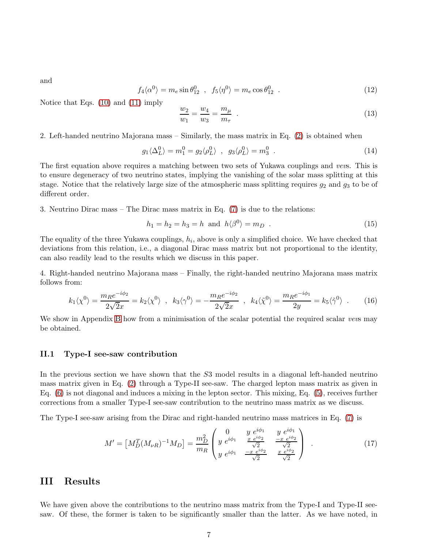and

$$
f_4\langle \alpha^0 \rangle = m_e \sin \theta_{12}^0 \quad , \quad f_5\langle \eta^0 \rangle = m_e \cos \theta_{12}^0 \quad . \tag{12}
$$

Notice that Eqs. [\(10\)](#page-17-3) and [\(11\)](#page-18-0) imply

$$
\frac{w_2}{w_1} = \frac{w_4}{w_3} = \frac{m_\mu}{m_\tau} \tag{13}
$$

2. Left-handed neutrino Majorana mass – Similarly, the mass matrix in Eq. [\(2\)](#page-16-0) is obtained when

$$
g_1 \langle \Delta_L^0 \rangle = m_1^0 = g_2 \langle \rho_L^0 \rangle \ , \ g_3 \langle \rho_L^0 \rangle = m_3^0 \ . \tag{14}
$$

The first equation above requires a matching between two sets of Yukawa couplings and vevs. This is to ensure degeneracy of two neutrino states, implying the vanishing of the solar mass splitting at this stage. Notice that the relatively large size of the atmospheric mass splitting requires  $g_2$  and  $g_3$  to be of different order.

3. Neutrino Dirac mass – The Dirac mass matrix in Eq. [\(7\)](#page-17-0) is due to the relations:

$$
h_1 = h_2 = h_3 = h \text{ and } h\langle \beta^0 \rangle = m_D . \tag{15}
$$

The equality of the three Yukawa couplings,  $h_i$ , above is only a simplified choice. We have checked that deviations from this relation, i.e., a diagonal Dirac mass matrix but not proportional to the identity, can also readily lead to the results which we discuss in this paper.

4. Right-handed neutrino Majorana mass – Finally, the right-handed neutrino Majorana mass matrix follows from:

$$
k_1\langle \chi^0 \rangle = \frac{m_R e^{-i\phi_2}}{2\sqrt{2}x} = k_2 \langle \chi^0 \rangle \quad , \quad k_3 \langle \gamma^0 \rangle = -\frac{m_R e^{-i\phi_2}}{2\sqrt{2}x} \quad , \quad k_4 \langle \tilde{\chi}^0 \rangle = \frac{m_R e^{-i\phi_1}}{2y} = k_5 \langle \tilde{\gamma}^0 \rangle \quad . \tag{16}
$$

We show in Appendix [B](#page-15-0) how from a minimisation of the scalar potential the required scalar vevs may be obtained.

#### II.1 Type-I see-saw contribution

In the previous section we have shown that the S3 model results in a diagonal left-handed neutrino mass matrix given in Eq. [\(2\)](#page-16-0) through a Type-II see-saw. The charged lepton mass matrix as given in Eq. [\(6\)](#page-17-2) is not diagonal and induces a mixing in the lepton sector. This mixing, Eq. [\(5\)](#page-17-4), receives further corrections from a smaller Type-I see-saw contribution to the neutrino mass matrix as we discuss.

The Type-I see-saw arising from the Dirac and right-handed neutrino mass matrices in Eq. [\(7\)](#page-17-0) is

$$
M' = \left[ M_D^T (M_{\nu R})^{-1} M_D \right] = \frac{m_D^2}{m_R} \begin{pmatrix} 0 & y e^{i\phi_1} & y e^{i\phi_1} \\ y e^{i\phi_1} & \frac{x e^{i\phi_2}}{\sqrt{2}} & \frac{-x e^{i\phi_2}}{\sqrt{2}} \\ y e^{i\phi_1} & \frac{-x e^{i\phi_2}}{\sqrt{2}} & \frac{x e^{i\phi_2}}{\sqrt{2}} \end{pmatrix} . \tag{17}
$$

## III Results

We have given above the contributions to the neutrino mass matrix from the Type-I and Type-II seesaw. Of these, the former is taken to be significantly smaller than the latter. As we have noted, in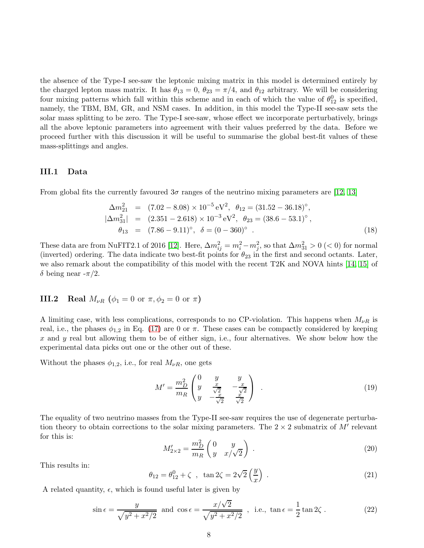the absence of the Type-I see-saw the leptonic mixing matrix in this model is determined entirely by the charged lepton mass matrix. It has  $\theta_{13} = 0$ ,  $\theta_{23} = \pi/4$ , and  $\theta_{12}$  arbitrary. We will be considering four mixing patterns which fall within this scheme and in each of which the value of  $\theta_{12}^0$  is specified, namely, the TBM, BM, GR, and NSM cases. In addition, in this model the Type-II see-saw sets the solar mass splitting to be zero. The Type-I see-saw, whose effect we incorporate perturbatively, brings all the above leptonic parameters into agreement with their values preferred by the data. Before we proceed further with this discussion it will be useful to summarise the global best-fit values of these mass-splittings and angles.

#### <span id="page-7-5"></span>III.1 Data

From global fits the currently favoured  $3\sigma$  ranges of the neutrino mixing parameters are [\[12,](#page-21-11) [13\]](#page-22-0)

<span id="page-7-2"></span>
$$
\Delta m_{21}^2 = (7.02 - 8.08) \times 10^{-5} \text{ eV}^2, \ \theta_{12} = (31.52 - 36.18)^\circ,
$$
  
\n
$$
|\Delta m_{31}^2| = (2.351 - 2.618) \times 10^{-3} \text{ eV}^2, \ \theta_{23} = (38.6 - 53.1)^\circ,
$$
  
\n
$$
\theta_{13} = (7.86 - 9.11)^\circ, \ \delta = (0 - 360)^\circ.
$$
 (18)

These data are from NuFIT2.1 of 2016 [\[12\]](#page-21-11). Here,  $\Delta m_{ij}^2 = m_i^2 - m_j^2$ , so that  $\Delta m_{31}^2 > 0$  (< 0) for normal (inverted) ordering. The data indicate two best-fit points for  $\theta_{23}$  in the first and second octants. Later, we also remark about the compatibility of this model with the recent T2K and NOVA hints [\[14,](#page-22-1) [15\]](#page-22-2) of δ being near  $-\pi/2$ .

## **III.2** Real  $M_{\nu R}$  ( $\phi_1 = 0$  or  $\pi, \phi_2 = 0$  or  $\pi$ )

A limiting case, with less complications, corresponds to no CP-violation. This happens when  $M_{\nu R}$  is real, i.e., the phases  $\phi_{1,2}$  in Eq. [\(17\)](#page-19-0) are 0 or  $\pi$ . These cases can be compactly considered by keeping  $x$  and  $y$  real but allowing them to be of either sign, i.e., four alternatives. We show below how the experimental data picks out one or the other out of these.

Without the phases  $\phi_{1,2}$ , i.e., for real  $M_{\nu R}$ , one gets

<span id="page-7-4"></span>
$$
M' = \frac{m_D^2}{m_R} \begin{pmatrix} 0 & y & y \\ y & \frac{x}{\sqrt{2}} & -\frac{x}{\sqrt{2}} \\ y & -\frac{x}{\sqrt{2}} & \frac{x}{\sqrt{2}} \end{pmatrix} . \tag{19}
$$

The equality of two neutrino masses from the Type-II see-saw requires the use of degenerate perturbation theory to obtain corrections to the solar mixing parameters. The  $2 \times 2$  submatrix of  $M'$  relevant for this is:

<span id="page-7-3"></span>
$$
M'_{2 \times 2} = \frac{m_D^2}{m_R} \begin{pmatrix} 0 & y \\ y & x/\sqrt{2} \end{pmatrix} .
$$
 (20)

This results in:

<span id="page-7-0"></span>
$$
\theta_{12} = \theta_{12}^0 + \zeta \quad , \quad \tan 2\zeta = 2\sqrt{2} \left(\frac{y}{x}\right) \quad . \tag{21}
$$

A related quantity,  $\epsilon$ , which is found useful later is given by

<span id="page-7-1"></span>
$$
\sin \epsilon = \frac{y}{\sqrt{y^2 + x^2/2}} \text{ and } \cos \epsilon = \frac{x/\sqrt{2}}{\sqrt{y^2 + x^2/2}}, \text{ i.e., } \tan \epsilon = \frac{1}{2} \tan 2\zeta. \tag{22}
$$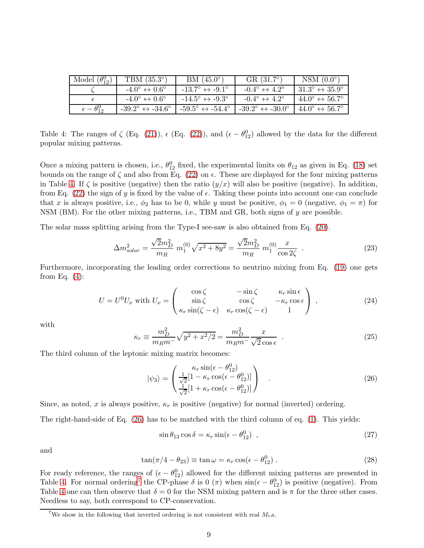| Model $(\theta_{12}^0)$  | TBM $(35.3^{\circ})$                          | $BM (45.0^{\circ})$                           | $GR(31.7^{\circ})$                            | NSM $(0.0^\circ)$                           |
|--------------------------|-----------------------------------------------|-----------------------------------------------|-----------------------------------------------|---------------------------------------------|
|                          | $-4.0^{\circ} \leftrightarrow 0.6^{\circ}$    | $-13.7^{\circ} \leftrightarrow -9.1^{\circ}$  | $-0.4^{\circ} \leftrightarrow 4.2^{\circ}$    | $31.3^\circ \leftrightarrow 35.9^\circ$     |
|                          | $-4.0^{\circ} \leftrightarrow 0.6^{\circ}$    | $-14.5^{\circ} \leftrightarrow -9.3^{\circ}$  | $-0.4^{\circ} \leftrightarrow 4.2^{\circ}$    | $44.0^{\circ} \leftrightarrow 56.7^{\circ}$ |
| $\epsilon-\theta_{12}^0$ | $-39.2^{\circ} \leftrightarrow -34.6^{\circ}$ | $-59.5^{\circ} \leftrightarrow -54.4^{\circ}$ | $-39.2^{\circ} \leftrightarrow -30.0^{\circ}$ | $44.0^{\circ} \leftrightarrow 56.7^{\circ}$ |

<span id="page-8-0"></span>Table 4: The ranges of  $\zeta$  (Eq. [\(21\)](#page-7-0)),  $\epsilon$  (Eq. [\(22\)](#page-7-1)), and  $(\epsilon - \theta_{12}^0)$  allowed by the data for the different popular mixing patterns.

Once a mixing pattern is chosen, i.e.,  $\theta_{12}^0$  fixed, the experimental limits on  $\theta_{12}$  as given in Eq. [\(18\)](#page-7-2) set bounds on the range of  $\zeta$  and also from Eq. [\(22\)](#page-7-1) on  $\epsilon$ . These are displayed for the four mixing patterns in Table [4.](#page-8-0) If  $\zeta$  is positive (negative) then the ratio  $(y/x)$  will also be positive (negative). In addition, from Eq. [\(22\)](#page-7-1) the sign of y is fixed by the value of  $\epsilon$ . Taking these points into account one can conclude that x is always positive, i.e.,  $\phi_2$  has to be 0, while y must be positive,  $\phi_1 = 0$  (negative,  $\phi_1 = \pi$ ) for NSM (BM). For the other mixing patterns, i.e., TBM and GR, both signs of y are possible.

The solar mass splitting arising from the Type-I see-saw is also obtained from Eq. [\(20\)](#page-7-3).

<span id="page-8-3"></span>
$$
\Delta m_{solar}^2 = \frac{\sqrt{2}m_D^2}{m_R} m_1^{(0)} \sqrt{x^2 + 8y^2} = \frac{\sqrt{2}m_D^2}{m_R} m_1^{(0)} \frac{x}{\cos 2\zeta} \quad . \tag{23}
$$

Furthermore, incorporating the leading order corrections to neutrino mixing from Eq. [\(19\)](#page-7-4) one gets from Eq.  $(4)$ :

$$
U = U^{0}U_{\nu} \text{ with } U_{\nu} = \begin{pmatrix} \cos \zeta & -\sin \zeta & \kappa_{r} \sin \epsilon \\ \sin \zeta & \cos \zeta & -\kappa_{r} \cos \epsilon \\ \kappa_{r} \sin(\zeta - \epsilon) & \kappa_{r} \cos(\zeta - \epsilon) & 1 \end{pmatrix},\tag{24}
$$

with

<span id="page-8-4"></span>
$$
\kappa_r \equiv \frac{m_D^2}{m_R m^-} \sqrt{y^2 + x^2/2} = \frac{m_D^2}{m_R m^-} \frac{x}{\sqrt{2} \cos \epsilon} \quad . \tag{25}
$$

The third column of the leptonic mixing matrix becomes:

<span id="page-8-1"></span>
$$
|\psi_3\rangle = \begin{pmatrix} \kappa_r \sin(\epsilon - \theta_{12}^0) \\ \frac{1}{\sqrt{2}} [1 - \kappa_r \cos(\epsilon - \theta_{12}^0)] \\ \frac{1}{\sqrt{2}} [1 + \kappa_r \cos(\epsilon - \theta_{12}^0)] \end{pmatrix} .
$$
 (26)

Since, as noted, x is always positive,  $\kappa_r$  is positive (negative) for normal (inverted) ordering.

The right-hand-side of Eq. [\(26\)](#page-8-1) has to be matched with the third column of eq. [\(1\)](#page-14-1). This yields:

<span id="page-8-5"></span>
$$
\sin \theta_{13} \cos \delta = \kappa_r \sin(\epsilon - \theta_{12}^0) \quad , \tag{27}
$$

and

<span id="page-8-6"></span>
$$
\tan(\pi/4 - \theta_{23}) \equiv \tan \omega = \kappa_r \cos(\epsilon - \theta_{12}^0) \,. \tag{28}
$$

For ready reference, the ranges of  $(\epsilon - \theta_{12}^0)$  allowed for the different mixing patterns are presented in Table [4.](#page-8-0) For normal ordering<sup>[7](#page-8-2)</sup> the CP-phase  $\delta$  is 0 ( $\pi$ ) when sin( $\epsilon - \theta_{12}^0$ ) is positive (negative). From Table [4](#page-8-0) one can then observe that  $\delta = 0$  for the NSM mixing pattern and is  $\pi$  for the three other cases. Needless to say, both correspond to CP-conservation.

<span id="page-8-2"></span><sup>&</sup>lt;sup>7</sup>We show in the following that inverted ordering is not consistent with real  $M_{\nu R}$ .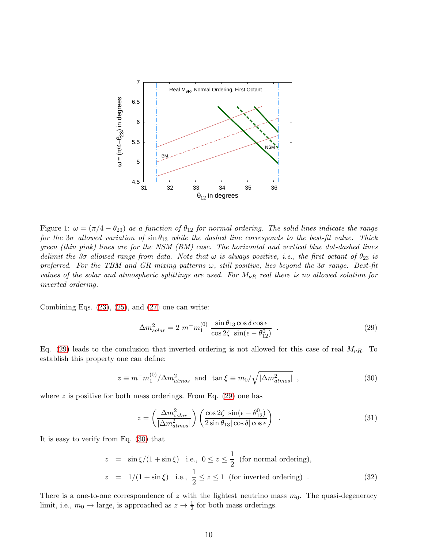

<span id="page-9-3"></span>Figure 1:  $\omega = (\pi/4 - \theta_{23})$  as a function of  $\theta_{12}$  for normal ordering. The solid lines indicate the range for the 3 $\sigma$  allowed variation of  $\sin \theta_{13}$  while the dashed line corresponds to the best-fit value. Thick green (thin pink) lines are for the NSM (BM) case. The horizontal and vertical blue dot-dashed lines delimit the 3σ allowed range from data. Note that  $\omega$  is always positive, i.e., the first octant of  $\theta_{23}$  is preferred. For the TBM and GR mixing patterns  $\omega$ , still positive, lies beyond the 3 $\sigma$  range. Best-fit values of the solar and atmospheric splittings are used. For  $M_{\nu R}$  real there is no allowed solution for inverted ordering.

Combining Eqs.  $(23)$ ,  $(25)$ , and  $(27)$  one can write:

<span id="page-9-0"></span>
$$
\Delta m_{solar}^2 = 2 \ m^- m_1^{(0)} \ \frac{\sin \theta_{13} \cos \delta \cos \epsilon}{\cos 2\zeta \ \sin(\epsilon - \theta_{12}^0)} \ . \tag{29}
$$

Eq. [\(29\)](#page-9-0) leads to the conclusion that inverted ordering is not allowed for this case of real  $M_{\nu R}$ . To establish this property one can define:

<span id="page-9-1"></span>
$$
z \equiv m^- m_1^{(0)} / \Delta m_{atmos}^2 \text{ and } \tan \xi \equiv m_0 / \sqrt{|\Delta m_{atmos}^2|} , \qquad (30)
$$

where z is positive for both mass orderings. From Eq.  $(29)$  one has

<span id="page-9-2"></span>
$$
z = \left(\frac{\Delta m_{solar}^2}{|\Delta m_{atmos}^2|}\right) \left(\frac{\cos 2\zeta \sin(\epsilon - \theta_{12}^0)}{2\sin\theta_{13}|\cos\delta|\cos\epsilon}\right) \tag{31}
$$

It is easy to verify from Eq. [\(30\)](#page-9-1) that

$$
z = \sin \xi / (1 + \sin \xi) \quad \text{i.e., } 0 \le z \le \frac{1}{2} \text{ (for normal ordering)},
$$
  

$$
z = 1/(1 + \sin \xi) \quad \text{i.e., } \frac{1}{2} \le z \le 1 \text{ (for inverted ordering)}.
$$
 (32)

There is a one-to-one correspondence of z with the lightest neutrino mass  $m_0$ . The quasi-degeneracy limit, i.e.,  $m_0 \to \text{large}$ , is approached as  $z \to \frac{1}{2}$  for both mass orderings.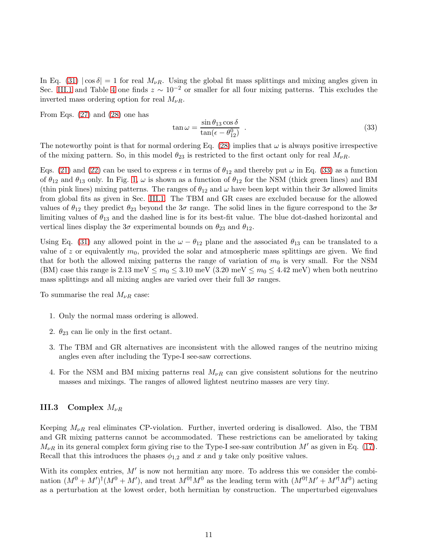In Eq. [\(31\)](#page-9-2)  $|\cos \delta| = 1$  for real  $M_{\nu R}$ . Using the global fit mass splittings and mixing angles given in Sec. [III.1](#page-7-5) and Table [4](#page-8-0) one finds  $z \sim 10^{-2}$  or smaller for all four mixing patterns. This excludes the inverted mass ordering option for real  $M_{\nu R}$ .

From Eqs. [\(27\)](#page-8-5) and [\(28\)](#page-8-6) one has

<span id="page-10-0"></span>
$$
\tan \omega = \frac{\sin \theta_{13} \cos \delta}{\tan(\epsilon - \theta_{12}^0)} \tag{33}
$$

The noteworthy point is that for normal ordering Eq. [\(28\)](#page-8-6) implies that  $\omega$  is always positive irrespective of the mixing pattern. So, in this model  $\theta_{23}$  is restricted to the first octant only for real  $M_{\nu R}$ .

Eqs. [\(21\)](#page-7-0) and [\(22\)](#page-7-1) can be used to express  $\epsilon$  in terms of  $\theta_{12}$  and thereby put  $\omega$  in Eq. [\(33\)](#page-10-0) as a function of  $\theta_{12}$  and  $\theta_{13}$  only. In Fig. [1,](#page-9-3)  $\omega$  is shown as a function of  $\theta_{12}$  for the NSM (thick green lines) and BM (thin pink lines) mixing patterns. The ranges of  $\theta_{12}$  and  $\omega$  have been kept within their  $3\sigma$  allowed limits from global fits as given in Sec. [III.1.](#page-7-5) The TBM and GR cases are excluded because for the allowed values of  $\theta_{12}$  they predict  $\theta_{23}$  beyond the  $3\sigma$  range. The solid lines in the figure correspond to the  $3\sigma$ limiting values of  $\theta_{13}$  and the dashed line is for its best-fit value. The blue dot-dashed horizontal and vertical lines display the  $3\sigma$  experimental bounds on  $\theta_{23}$  and  $\theta_{12}$ .

Using Eq. [\(31\)](#page-9-2) any allowed point in the  $\omega - \theta_{12}$  plane and the associated  $\theta_{13}$  can be translated to a value of z or equivalently  $m_0$ , provided the solar and atmospheric mass splittings are given. We find that for both the allowed mixing patterns the range of variation of  $m_0$  is very small. For the NSM (BM) case this range is 2.13 meV  $\leq m_0 \leq 3.10$  meV  $(3.20 \text{ meV} \leq m_0 \leq 4.42 \text{ meV})$  when both neutrino mass splittings and all mixing angles are varied over their full  $3\sigma$  ranges.

To summarise the real  $M_{\nu R}$  case:

- 1. Only the normal mass ordering is allowed.
- 2.  $\theta_{23}$  can lie only in the first octant.
- 3. The TBM and GR alternatives are inconsistent with the allowed ranges of the neutrino mixing angles even after including the Type-I see-saw corrections.
- 4. For the NSM and BM mixing patterns real  $M_{\nu R}$  can give consistent solutions for the neutrino masses and mixings. The ranges of allowed lightest neutrino masses are very tiny.

#### III.3 Complex  $M_{\nu R}$

Keeping  $M_{\nu R}$  real eliminates CP-violation. Further, inverted ordering is disallowed. Also, the TBM and GR mixing patterns cannot be accommodated. These restrictions can be ameliorated by taking  $M_{\nu R}$  in its general complex form giving rise to the Type-I see-saw contribution M' as given in Eq. [\(17\)](#page-19-0). Recall that this introduces the phases  $\phi_{1,2}$  and x and y take only positive values.

With its complex entries,  $M'$  is now not hermitian any more. To address this we consider the combination  $(M^0 + M')^{\dagger} (M^0 + M')$ , and treat  $M^{0\dagger} M^0$  as the leading term with  $(M^{0\dagger}M' + M'^{\dagger}M^0)$  acting as a perturbation at the lowest order, both hermitian by construction. The unperturbed eigenvalues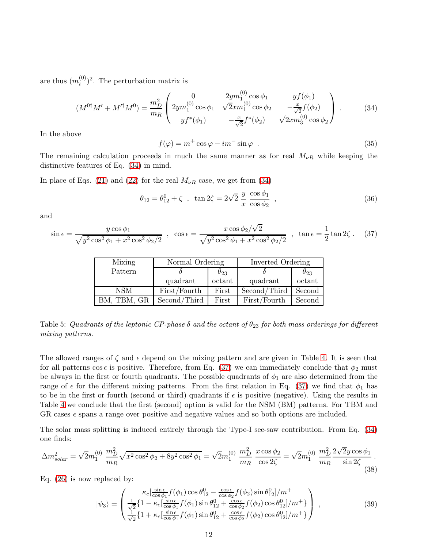are thus  $(m_i^{(0)}$  $\binom{(0)}{i}$ <sup>2</sup>. The perturbation matrix is

<span id="page-11-0"></span>
$$
(M^{0\dagger}M' + M'^{\dagger}M^{0}) = \frac{m_D^2}{m_R} \begin{pmatrix} 0 & 2ym_1^{(0)}\cos\phi_1 & yf(\phi_1) \\ 2ym_1^{(0)}\cos\phi_1 & \sqrt{2}xm_1^{(0)}\cos\phi_2 & -\frac{x}{\sqrt{2}}f(\phi_2) \\ yf^*(\phi_1) & -\frac{x}{\sqrt{2}}f^*(\phi_2) & \sqrt{2}xm_3^{(0)}\cos\phi_2 \end{pmatrix} .
$$
 (34)

In the above

<span id="page-11-2"></span>
$$
f(\varphi) = m^+ \cos \varphi - im^- \sin \varphi . \qquad (35)
$$

The remaining calculation proceeds in much the same manner as for real  $M_{\nu R}$  while keeping the distinctive features of Eq. [\(34\)](#page-11-0) in mind.

In place of Eqs. [\(21\)](#page-7-0) and [\(22\)](#page-7-1) for the real  $M_{\nu R}$  case, we get from [\(34\)](#page-11-0)

$$
\theta_{12} = \theta_{12}^0 + \zeta \ , \ \tan 2\zeta = 2\sqrt{2} \ \frac{y}{x} \ \frac{\cos \phi_1}{\cos \phi_2} \ , \tag{36}
$$

and

<span id="page-11-1"></span>
$$
\sin \epsilon = \frac{y \cos \phi_1}{\sqrt{y^2 \cos^2 \phi_1 + x^2 \cos^2 \phi_2/2}} \; , \; \cos \epsilon = \frac{x \cos \phi_2/\sqrt{2}}{\sqrt{y^2 \cos^2 \phi_1 + x^2 \cos^2 \phi_2/2}} \; , \; \tan \epsilon = \frac{1}{2} \tan 2\zeta \; . \tag{37}
$$

| Mixing      | Normal Ordering |               | Inverted Ordering |               |  |
|-------------|-----------------|---------------|-------------------|---------------|--|
| Pattern     |                 | $\theta_{23}$ |                   | $\theta_{23}$ |  |
|             | quadrant        | octant        | quadrant          | octant        |  |
| <b>NSM</b>  | First/Fourth    | First         | Second/Third      | Second        |  |
| BM. TBM. GR | Second/Third    | First         | First/Fourth      | Second        |  |

<span id="page-11-4"></span>Table 5: Quadrants of the leptonic CP-phase  $\delta$  and the octant of  $\theta_{23}$  for both mass orderings for different mixing patterns.

The allowed ranges of  $\zeta$  and  $\epsilon$  depend on the mixing pattern and are given in Table [4.](#page-8-0) It is seen that for all patterns cos  $\epsilon$  is positive. Therefore, from Eq. [\(37\)](#page-11-1) we can immediately conclude that  $\phi_2$  must be always in the first or fourth quadrants. The possible quadrants of  $\phi_1$  are also determined from the range of  $\epsilon$  for the different mixing patterns. From the first relation in Eq. [\(37\)](#page-11-1) we find that  $\phi_1$  has to be in the first or fourth (second or third) quadrants if  $\epsilon$  is positive (negative). Using the results in Table [4](#page-8-0) we conclude that the first (second) option is valid for the NSM (BM) patterns. For TBM and GR cases  $\epsilon$  spans a range over positive and negative values and so both options are included.

The solar mass splitting is induced entirely through the Type-I see-saw contribution. From Eq. [\(34\)](#page-11-0) one finds:

<span id="page-11-5"></span>
$$
\Delta m_{solar}^2 = \sqrt{2}m_1^{(0)} \frac{m_D^2}{m_R} \sqrt{x^2 \cos^2 \phi_2 + 8y^2 \cos^2 \phi_1} = \sqrt{2}m_1^{(0)} \frac{m_D^2}{m_R} \frac{x \cos \phi_2}{\cos 2\zeta} = \sqrt{2}m_1^{(0)} \frac{m_D^2}{m_R} \frac{2\sqrt{2}y \cos \phi_1}{\sin 2\zeta}.
$$
\n(38)

Eq. [\(26\)](#page-8-1) is now replaced by:

<span id="page-11-3"></span>
$$
|\psi_3\rangle = \begin{pmatrix} \kappa_c \left[\frac{\sin\epsilon}{\cos\phi_1} f(\phi_1) \cos\theta_{12}^0 - \frac{\cos\epsilon}{\cos\phi_2} f(\phi_2) \sin\theta_{12}^0\right] / m^+\\ \frac{1}{\sqrt{2}} \left\{1 - \kappa_c \left[\frac{\sin\epsilon}{\cos\phi_1} f(\phi_1) \sin\theta_{12}^0 + \frac{\cos\epsilon}{\cos\phi_2} f(\phi_2) \cos\theta_{12}^0\right] / m^+\right\} \\ \frac{1}{\sqrt{2}} \left\{1 + \kappa_c \left[\frac{\sin\epsilon}{\cos\phi_1} f(\phi_1) \sin\theta_{12}^0 + \frac{\cos\epsilon}{\cos\phi_2} f(\phi_2) \cos\theta_{12}^0\right] / m^+\right\} \end{pmatrix},
$$
(39)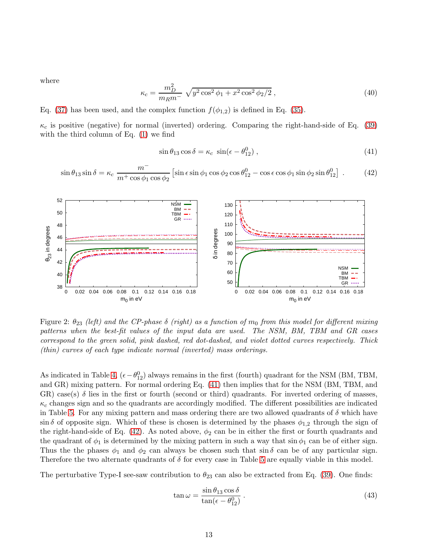where

$$
\kappa_c = \frac{m_D^2}{m_R m^-} \sqrt{y^2 \cos^2 \phi_1 + x^2 \cos^2 \phi_2 / 2} \,,\tag{40}
$$

Eq. [\(37\)](#page-11-1) has been used, and the complex function  $f(\phi_{1,2})$  is defined in Eq. [\(35\)](#page-11-2).

 $\kappa_c$  is positive (negative) for normal (inverted) ordering. Comparing the right-hand-side of Eq. [\(39\)](#page-11-3) with the third column of Eq. [\(1\)](#page-14-1) we find

<span id="page-12-0"></span>
$$
\sin \theta_{13} \cos \delta = \kappa_c \sin(\epsilon - \theta_{12}^0) , \qquad (41)
$$

<span id="page-12-1"></span>
$$
\sin \theta_{13} \sin \delta = \kappa_c \frac{m^-}{m^+ \cos \phi_1 \cos \phi_2} \left[ \sin \epsilon \sin \phi_1 \cos \phi_2 \cos \theta_{12}^0 - \cos \epsilon \cos \phi_1 \sin \phi_2 \sin \theta_{12}^0 \right] . \tag{42}
$$



<span id="page-12-3"></span>Figure 2:  $\theta_{23}$  (left) and the CP-phase  $\delta$  (right) as a function of  $m_0$  from this model for different mixing patterns when the best-fit values of the input data are used. The NSM, BM, TBM and GR cases correspond to the green solid, pink dashed, red dot-dashed, and violet dotted curves respectively. Thick (thin) curves of each type indicate normal (inverted) mass orderings.

As indicated in Table [4,](#page-8-0)  $(\epsilon - \theta_{12}^0)$  always remains in the first (fourth) quadrant for the NSM (BM, TBM, and GR) mixing pattern. For normal ordering Eq. [\(41\)](#page-12-0) then implies that for the NSM (BM, TBM, and GR) case(s)  $\delta$  lies in the first or fourth (second or third) quadrants. For inverted ordering of masses,  $\kappa_c$  changes sign and so the quadrants are accordingly modified. The different possibilities are indicated in Table [5.](#page-11-4) For any mixing pattern and mass ordering there are two allowed quadrants of  $\delta$  which have  $\sin \delta$  of opposite sign. Which of these is chosen is determined by the phases  $\phi_{1,2}$  through the sign of the right-hand-side of Eq. [\(42\)](#page-12-1). As noted above,  $\phi_2$  can be in either the first or fourth quadrants and the quadrant of  $\phi_1$  is determined by the mixing pattern in such a way that sin  $\phi_1$  can be of either sign. Thus the the phases  $\phi_1$  and  $\phi_2$  can always be chosen such that sin  $\delta$  can be of any particular sign. Therefore the two alternate quadrants of  $\delta$  for every case in Table [5](#page-11-4) are equally viable in this model.

The perturbative Type-I see-saw contribution to  $\theta_{23}$  can also be extracted from Eq. [\(39\)](#page-11-3). One finds:

<span id="page-12-2"></span>
$$
\tan \omega = \frac{\sin \theta_{13} \cos \delta}{\tan(\epsilon - \theta_{12}^0)}.
$$
\n(43)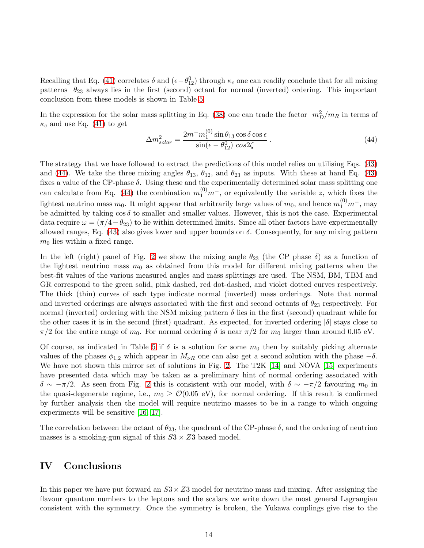Recalling that Eq. [\(41\)](#page-12-0) correlates  $\delta$  and  $(\epsilon - \theta_{12}^0)$  through  $\kappa_c$  one can readily conclude that for all mixing patterns  $\theta_{23}$  always lies in the first (second) octant for normal (inverted) ordering. This important conclusion from these models is shown in Table [5.](#page-11-4)

In the expression for the solar mass splitting in Eq. [\(38\)](#page-11-5) one can trade the factor  $m_D^2/m_R$  in terms of  $\kappa_c$  and use Eq. [\(41\)](#page-12-0) to get

<span id="page-13-0"></span>
$$
\Delta m_{solar}^2 = \frac{2m^-m_1^{(0)}\sin\theta_{13}\cos\delta\cos\epsilon}{\sin(\epsilon - \theta_{12}^0)\cos 2\zeta} \,. \tag{44}
$$

The strategy that we have followed to extract the predictions of this model relies on utilising Eqs. [\(43\)](#page-12-2) and [\(44\)](#page-13-0). We take the three mixing angles  $\theta_{13}$ ,  $\theta_{12}$ , and  $\theta_{23}$  as inputs. With these at hand Eq. [\(43\)](#page-12-2) fixes a value of the CP-phase  $\delta$ . Using these and the experimentally determined solar mass splitting one can calculate from Eq. [\(44\)](#page-13-0) the combination  $m_1^{(0)}m^-$ , or equivalently the variable z, which fixes the lightest neutrino mass  $m_0$ . It might appear that arbitrarily large values of  $m_0$ , and hence  $m_1^{(0)}m^-$ , may be admitted by taking  $\cos \delta$  to smaller and smaller values. However, this is not the case. Experimental data require  $\omega = (\pi/4 - \theta_{23})$  to lie within determined limits. Since all other factors have experimentally allowed ranges, Eq. [\(43\)](#page-12-2) also gives lower and upper bounds on  $\delta$ . Consequently, for any mixing pattern  $m_0$  lies within a fixed range.

In the left (right) panel of Fig. [2](#page-12-3) we show the mixing angle  $\theta_{23}$  (the CP phase  $\delta$ ) as a function of the lightest neutrino mass  $m_0$  as obtained from this model for different mixing patterns when the best-fit values of the various measured angles and mass splittings are used. The NSM, BM, TBM and GR correspond to the green solid, pink dashed, red dot-dashed, and violet dotted curves respectively. The thick (thin) curves of each type indicate normal (inverted) mass orderings. Note that normal and inverted orderings are always associated with the first and second octants of  $\theta_{23}$  respectively. For normal (inverted) ordering with the NSM mixing pattern  $\delta$  lies in the first (second) quadrant while for the other cases it is in the second (first) quadrant. As expected, for inverted ordering  $|\delta|$  stays close to  $\pi/2$  for the entire range of  $m_0$ . For normal ordering  $\delta$  is near  $\pi/2$  for  $m_0$  larger than around 0.05 eV.

Of course, as indicated in Table [5](#page-11-4) if  $\delta$  is a solution for some  $m_0$  then by suitably picking alternate values of the phases  $\phi_{1,2}$  which appear in  $M_{\nu R}$  one can also get a second solution with the phase  $-\delta$ . We have not shown this mirror set of solutions in Fig. [2.](#page-12-3) The T2K [\[14\]](#page-22-1) and NOVA [\[15\]](#page-22-2) experiments have presented data which may be taken as a preliminary hint of normal ordering associated with  $\delta \sim -\pi/2$ . As seen from Fig. [2](#page-12-3) this is consistent with our model, with  $\delta \sim -\pi/2$  favouring  $m_0$  in the quasi-degenerate regime, i.e.,  $m_0 \geq \mathcal{O}(0.05 \text{ eV})$ , for normal ordering. If this result is confirmed by further analysis then the model will require neutrino masses to be in a range to which ongoing experiments will be sensitive [\[16,](#page-22-3) [17\]](#page-22-4).

The correlation between the octant of  $\theta_{23}$ , the quadrant of the CP-phase  $\delta$ , and the ordering of neutrino masses is a smoking-gun signal of this  $S3 \times Z3$  based model.

## IV Conclusions

In this paper we have put forward an  $S3 \times Z3$  model for neutrino mass and mixing. After assigning the flavour quantum numbers to the leptons and the scalars we write down the most general Lagrangian consistent with the symmetry. Once the symmetry is broken, the Yukawa couplings give rise to the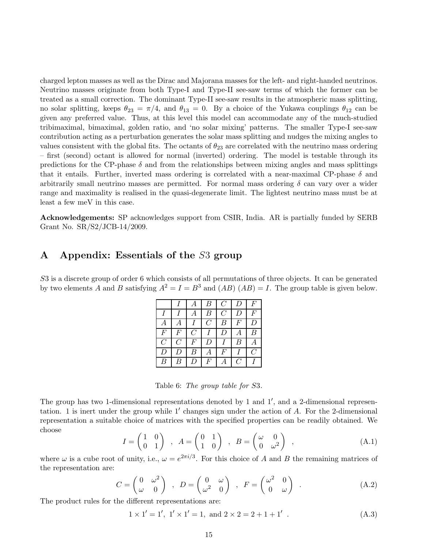charged lepton masses as well as the Dirac and Majorana masses for the left- and right-handed neutrinos. Neutrino masses originate from both Type-I and Type-II see-saw terms of which the former can be treated as a small correction. The dominant Type-II see-saw results in the atmospheric mass splitting, no solar splitting, keeps  $\theta_{23} = \pi/4$ , and  $\theta_{13} = 0$ . By a choice of the Yukawa couplings  $\theta_{12}$  can be given any preferred value. Thus, at this level this model can accommodate any of the much-studied tribimaximal, bimaximal, golden ratio, and 'no solar mixing' patterns. The smaller Type-I see-saw contribution acting as a perturbation generates the solar mass splitting and nudges the mixing angles to values consistent with the global fits. The octants of  $\theta_{23}$  are correlated with the neutrino mass ordering – first (second) octant is allowed for normal (inverted) ordering. The model is testable through its predictions for the CP-phase  $\delta$  and from the relationships between mixing angles and mass splittings that it entails. Further, inverted mass ordering is correlated with a near-maximal CP-phase  $\delta$  and arbitrarily small neutrino masses are permitted. For normal mass ordering  $\delta$  can vary over a wider range and maximality is realised in the quasi-degenerate limit. The lightest neutrino mass must be at least a few meV in this case.

Acknowledgements: SP acknowledges support from CSIR, India. AR is partially funded by SERB Grant No. SR/S2/JCB-14/2009.

## <span id="page-14-0"></span>A Appendix: Essentials of the S3 group

S3 is a discrete group of order 6 which consists of all permutations of three objects. It can be generated by two elements A and B satisfying  $A^2 = I = B^3$  and  $(AB) (AB) = I$ . The group table is given below.

|                  |                  |                  | В                | $\mathcal{C}$    | $\overline{D}$ | F                       |
|------------------|------------------|------------------|------------------|------------------|----------------|-------------------------|
| $\overline{I}$   |                  | А                | В                | $\mathcal{C}$    | D              | F                       |
| A                | $\boldsymbol{A}$ |                  | $\mathcal{C}$    | $\boldsymbol{B}$ | F              | D                       |
| $\overline{F}$   | $\overline{F}$   | $\overline{C}$   |                  | $\boldsymbol{D}$ | А              | $\boldsymbol{B}$        |
| $\mathcal{C}$    | $\mathcal{C}$    | $\boldsymbol{F}$ | $\boldsymbol{D}$ |                  | В              | А                       |
| D                | D                | B                | $\boldsymbol{A}$ | F                |                | $\mathcal{C}_{0}^{(n)}$ |
| $\boldsymbol{B}$ | B                | D                | $\overline{F}$   |                  | $\mathcal C$   | $\boldsymbol{I}$        |

Table 6: The group table for S3.

The group has two 1-dimensional representations denoted by 1 and 1', and a 2-dimensional representation. 1 is inert under the group while 1′ changes sign under the action of A. For the 2-dimensional representation a suitable choice of matrices with the specified properties can be readily obtained. We choose

<span id="page-14-1"></span>
$$
I = \begin{pmatrix} 1 & 0 \\ 0 & 1 \end{pmatrix} , A = \begin{pmatrix} 0 & 1 \\ 1 & 0 \end{pmatrix} , B = \begin{pmatrix} \omega & 0 \\ 0 & \omega^2 \end{pmatrix} ,
$$
 (A.1)

where  $\omega$  is a cube root of unity, i.e.,  $\omega = e^{2\pi i/3}$ . For this choice of A and B the remaining matrices of the representation are:

<span id="page-14-2"></span>
$$
C = \begin{pmatrix} 0 & \omega^2 \\ \omega & 0 \end{pmatrix} , D = \begin{pmatrix} 0 & \omega \\ \omega^2 & 0 \end{pmatrix} , F = \begin{pmatrix} \omega^2 & 0 \\ 0 & \omega \end{pmatrix} .
$$
 (A.2)

The product rules for the different representations are:

<span id="page-14-3"></span>
$$
1 \times 1' = 1', 1' \times 1' = 1, \text{ and } 2 \times 2 = 2 + 1 + 1'
$$
 (A.3)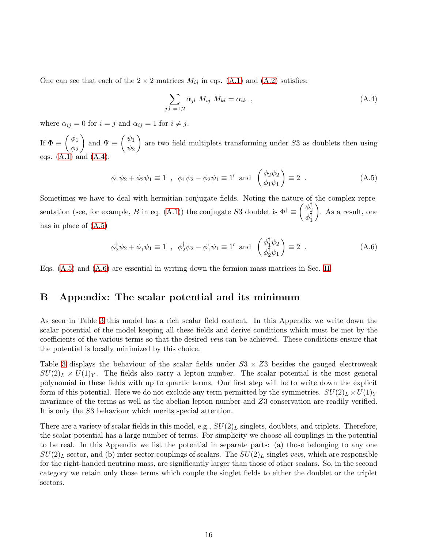One can see that each of the  $2 \times 2$  matrices  $M_{ij}$  in eqs. [\(A.1\)](#page-14-1) and [\(A.2\)](#page-14-2) satisfies:

<span id="page-15-1"></span>
$$
\sum_{j,l=1,2} \alpha_{jl} M_{ij} M_{kl} = \alpha_{ik} , \qquad (A.4)
$$

where  $\alpha_{ij} = 0$  for  $i = j$  and  $\alpha_{ij} = 1$  for  $i \neq j$ .

If  $\Phi \equiv \begin{pmatrix} \phi_1 \\ \phi_2 \end{pmatrix}$  $\phi_2$ ) and  $\Psi \equiv \begin{pmatrix} \psi_1 \\ \psi_2 \end{pmatrix}$  $\psi_2$ are two field multiplets transforming under  $S3$  as doublets then using eqs.  $(A.1)$  and  $(A.4)$ :

<span id="page-15-2"></span>
$$
\phi_1 \psi_2 + \phi_2 \psi_1 \equiv 1
$$
,  $\phi_1 \psi_2 - \phi_2 \psi_1 \equiv 1'$  and  $\begin{pmatrix} \phi_2 \psi_2 \\ \phi_1 \psi_1 \end{pmatrix} \equiv 2$ . (A.5)

Sometimes we have to deal with hermitian conjugate fields. Noting the nature of the complex repre-sentation (see, for example, B in eq. [\(A.1\)](#page-14-1)) the conjugate S3 doublet is  $\Phi^{\dagger} \equiv \begin{pmatrix} \phi_2^{\dagger} \\ \phi_1^{\dagger} \end{pmatrix}$  $\phi_1^\intercal$  . As a result, one has in place of [\(A.5\)](#page-15-2)

<span id="page-15-3"></span>
$$
\phi_2^{\dagger} \psi_2 + \phi_1^{\dagger} \psi_1 \equiv 1 \quad , \quad \phi_2^{\dagger} \psi_2 - \phi_1^{\dagger} \psi_1 \equiv 1' \quad \text{and} \quad \begin{pmatrix} \phi_1^{\dagger} \psi_2 \\ \phi_2^{\dagger} \psi_1 \end{pmatrix} \equiv 2 \quad . \tag{A.6}
$$

<span id="page-15-0"></span>Eqs. [\(A.5\)](#page-15-2) and [\(A.6\)](#page-15-3) are essential in writing down the fermion mass matrices in Sec. [II.](#page-15-0)

## B Appendix: The scalar potential and its minimum

As seen in Table [3](#page-4-0) this model has a rich scalar field content. In this Appendix we write down the scalar potential of the model keeping all these fields and derive conditions which must be met by the coefficients of the various terms so that the desired vevs can be achieved. These conditions ensure that the potential is locally minimized by this choice.

Table [3](#page-4-0) displays the behaviour of the scalar fields under  $S3 \times Z3$  besides the gauged electroweak  $SU(2)_L \times U(1)_Y$ . The fields also carry a lepton number. The scalar potential is the most general polynomial in these fields with up to quartic terms. Our first step will be to write down the explicit form of this potential. Here we do not exclude any term permitted by the symmetries.  $SU(2)_L \times U(1)_Y$ invariance of the terms as well as the abelian lepton number and Z3 conservation are readily verified. It is only the S3 behaviour which merits special attention.

There are a variety of scalar fields in this model, e.g.,  $SU(2)_L$  singlets, doublets, and triplets. Therefore, the scalar potential has a large number of terms. For simplicity we choose all couplings in the potential to be real. In this Appendix we list the potential in separate parts: (a) those belonging to any one  $SU(2)_L$  sector, and (b) inter-sector couplings of scalars. The  $SU(2)_L$  singlet vevs, which are responsible for the right-handed neutrino mass, are significantly larger than those of other scalars. So, in the second category we retain only those terms which couple the singlet fields to either the doublet or the triplet sectors.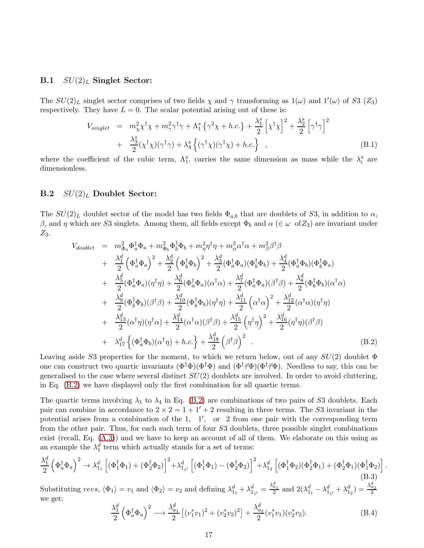#### **B.1**  $SU(2)<sub>L</sub>$  Singlet Sector:

The  $SU(2)_L$  singlet sector comprises of two fields  $\chi$  and  $\gamma$  transforming as  $1(\omega)$  and  $1'(\omega)$  of S3  $(Z_3)$ respectively. They have  $L = 0$ . The scalar potential arising out of these is:

$$
V_{singlet} = m_{\chi}^2 \chi^{\dagger} \chi + m_{\gamma}^2 \gamma^{\dagger} \gamma + \Lambda_1^s \left\{ \gamma^2 \chi + h.c. \right\} + \frac{\lambda_1^s}{2} \left[ \chi^{\dagger} \chi \right]^2 + \frac{\lambda_2^s}{2} \left[ \gamma^{\dagger} \gamma \right]^2
$$
  
+ 
$$
\frac{\lambda_3^s}{2} (\chi^{\dagger} \chi)(\gamma^{\dagger} \gamma) + \lambda_4^s \left\{ (\gamma^{\dagger} \chi)(\gamma^{\dagger} \chi) + h.c. \right\} , \qquad (B.1)
$$

where the coefficient of the cubic term,  $\Lambda_1^s$ , carries the same dimension as mass while the  $\lambda_i^s$  are dimensionless.

### **B.2**  $SU(2)<sub>L</sub>$  Doublet Sector:

The  $SU(2)_L$  doublet sector of the model has two fields  $\Phi_{a,b}$  that are doublets of S3, in addition to  $\alpha$ , β, and η which are S3 singlets. Among them, all fields except  $\Phi_b$  and  $\alpha$  ( $\in \omega$  of  $Z_3$ ) are invariant under  $Z_3$ .

<span id="page-16-0"></span>
$$
V_{doublet} = m_{\Phi_a}^2 \Phi_a^{\dagger} \Phi_a + m_{\Phi_b}^2 \Phi_b^{\dagger} \Phi_b + m_{\eta}^2 \eta^{\dagger} \eta + m_{\alpha}^2 \alpha^{\dagger} \alpha + m_{\beta}^2 \beta^{\dagger} \beta
$$
  
+ 
$$
\frac{\lambda_1^d}{2} \left( \Phi_a^{\dagger} \Phi_a \right)^2 + \frac{\lambda_2^d}{2} \left( \Phi_b^{\dagger} \Phi_b \right)^2 + \frac{\lambda_3^d}{2} (\Phi_a^{\dagger} \Phi_a)(\Phi_b^{\dagger} \Phi_b) + \frac{\lambda_4^d}{2} (\Phi_a^{\dagger} \Phi_b)(\Phi_b^{\dagger} \Phi_a)
$$
  
+ 
$$
\frac{\lambda_5^d}{2} (\Phi_a^{\dagger} \Phi_a)(\eta^{\dagger} \eta) + \frac{\lambda_6^d}{2} (\Phi_a^{\dagger} \Phi_a)(\alpha^{\dagger} \alpha) + \frac{\lambda_7^d}{2} (\Phi_a^{\dagger} \Phi_a)(\beta^{\dagger} \beta) + \frac{\lambda_8^d}{2} (\Phi_b^{\dagger} \Phi_b)(\alpha^{\dagger} \alpha)
$$
  
+ 
$$
\frac{\lambda_9^d}{2} (\Phi_b^{\dagger} \Phi_b)(\beta^{\dagger} \beta) + \frac{\lambda_{10}^d}{2} (\Phi_b^{\dagger} \Phi_b)(\eta^{\dagger} \eta) + \frac{\lambda_{11}^d}{2} \left( \alpha^{\dagger} \alpha \right)^2 + \frac{\lambda_{12}^d}{2} (\alpha^{\dagger} \alpha)(\eta^{\dagger} \eta)
$$
  
+ 
$$
\frac{\lambda_{13}^d}{2} (\alpha^{\dagger} \eta)(\eta^{\dagger} \alpha) + \frac{\lambda_{14}^d}{2} (\alpha^{\dagger} \alpha)(\beta^{\dagger} \beta) + \frac{\lambda_{15}^d}{2} \left( \eta^{\dagger} \eta \right)^2 + \frac{\lambda_{16}^d}{2} (\eta^{\dagger} \eta)(\beta^{\dagger} \beta)
$$
  
+ 
$$
\lambda_{17}^d \left\{ (\Phi_a^{\dagger} \Phi_b)(\alpha^{\dagger} \eta) + h.c. \right\} + \frac{\lambda_{18}^d}{2} \left( \beta^{\dagger} \beta \right)^2
$$
 (B.2)

Leaving aside S3 properties for the moment, to which we return below, out of any  $SU(2)$  doublet  $\Phi$ one can construct two quartic invariants  $(\Phi^{\dagger} \Phi)(\Phi^{\dagger} \Phi)$  and  $(\Phi^{\dagger} \vec{\tau} \Phi)(\Phi^{\dagger} \vec{\tau} \Phi)$ . Needless to say, this can be generalised to the case where several distinct  $SU(2)$  doublets are involved. In order to avoid cluttering, in Eq. [\(B.2\)](#page-16-0) we have displayed only the first combination for all quartic terms.

The quartic terms involving  $\lambda_1$  to  $\lambda_4$  in Eq. [\(B.2\)](#page-16-0) are combinations of two pairs of S3 doublets. Each pair can combine in accordance to  $2 \times 2 = 1 + 1' + 2$  resulting in three terms. The S3 invariant in the potential arises from a combination of the 1, 1', or 2 from one pair with the corresponding term from the other pair. Thus, for each such term of four S3 doublets, three possible singlet combinations exist (recall, Eq. [\(A.3\)](#page-14-3)) and we have to keep an account of all of them. We elaborate on this using as an example the  $\lambda_1^d$  term which actually stands for a set of terms:

$$
\frac{\lambda_1^d}{2} \left( \Phi_a^{\dagger} \Phi_a \right)^2 \to \lambda_{1_1}^d \left[ (\Phi_1^{\dagger} \Phi_1) + (\Phi_2^{\dagger} \Phi_2) \right]^2 + \lambda_{1_{1'}}^d \left[ (\Phi_1^{\dagger} \Phi_1) - (\Phi_2^{\dagger} \Phi_2) \right]^2 + \lambda_{1_2}^d \left[ (\Phi_1^{\dagger} \Phi_2) (\Phi_2^{\dagger} \Phi_1) + (\Phi_2^{\dagger} \Phi_1) (\Phi_1^{\dagger} \Phi_2) \right].
$$
\n(B.3)

Substituting vevs,  $\langle \Phi_1 \rangle = v_1$  and  $\langle \Phi_2 \rangle = v_2$  and defining  $\lambda_{1_1}^d + \lambda_{1_{1'}}^d = \frac{\lambda_{a_1}^d}{2}$  and  $2(\lambda_{1_1}^d - \lambda_{1_{1'}}^d + \lambda_{1_2}^d) = \frac{\lambda_{a_2}^d}{2}$ we get:

<span id="page-16-1"></span>
$$
\frac{\lambda_1^d}{2} \left( \Phi_a^{\dagger} \Phi_a \right)^2 \longrightarrow \frac{\lambda_{a_1}^d}{2} \left[ (v_1^* v_1)^2 + (v_2^* v_2)^2 \right] + \frac{\lambda_{a_2}^d}{2} (v_1^* v_1)(v_2^* v_2). \tag{B.4}
$$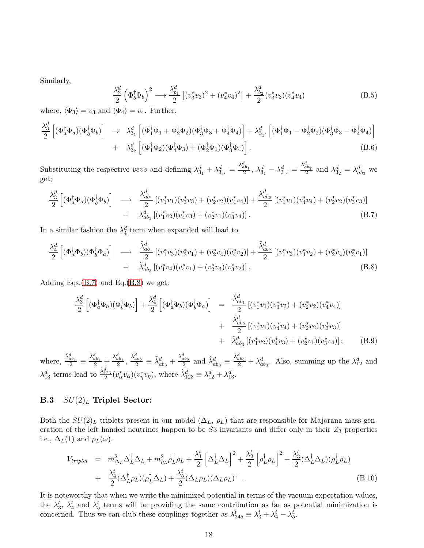Similarly,

<span id="page-17-4"></span>
$$
\frac{\lambda_2^d}{2} \left( \Phi_b^{\dagger} \Phi_b \right)^2 \longrightarrow \frac{\lambda_{b_1}^d}{2} \left[ (v_3^* v_3)^2 + (v_4^* v_4)^2 \right] + \frac{\lambda_{b_2}^d}{2} (v_3^* v_3) (v_4^* v_4)
$$
\n(B.5)

where,  $\langle \Phi_3 \rangle = v_3$  and  $\langle \Phi_4 \rangle = v_4$ . Further,

<span id="page-17-2"></span>
$$
\frac{\lambda_3^d}{2} \left[ (\Phi_a^{\dagger} \Phi_a)(\Phi_b^{\dagger} \Phi_b) \right] \rightarrow \lambda_{3_1}^d \left[ (\Phi_1^{\dagger} \Phi_1 + \Phi_2^{\dagger} \Phi_2)(\Phi_3^{\dagger} \Phi_3 + \Phi_4^{\dagger} \Phi_4) \right] + \lambda_{3_{1'}}^d \left[ (\Phi_1^{\dagger} \Phi_1 - \Phi_2^{\dagger} \Phi_2)(\Phi_3^{\dagger} \Phi_3 - \Phi_4^{\dagger} \Phi_4) \right] + \lambda_{3_2}^d \left[ (\Phi_1^{\dagger} \Phi_2)(\Phi_4^{\dagger} \Phi_3) + (\Phi_2^{\dagger} \Phi_1)(\Phi_3^{\dagger} \Phi_4) \right].
$$
\n(B.6)

Substituting the respective vevs and defining  $\lambda_{3_1}^d + \lambda_{3_{1'}}^d = \frac{\lambda_{ab_1}^d}{2}$ ,  $\lambda_{3_1}^d - \lambda_{3_{1'}}^d = \frac{\lambda_{ab_2}^d}{2}$  and  $\lambda_{3_2}^d = \lambda_{ab_3}^d$  we get;

<span id="page-17-0"></span>
$$
\frac{\lambda_3^d}{2} \left[ (\Phi_a^{\dagger} \Phi_a)(\Phi_b^{\dagger} \Phi_b) \right] \longrightarrow \frac{\lambda_{ab_1}^d}{2} \left[ (v_1^* v_1)(v_3^* v_3) + (v_2^* v_2)(v_4^* v_4) \right] + \frac{\lambda_{ab_2}^d}{2} \left[ (v_1^* v_1)(v_4^* v_4) + (v_2^* v_2)(v_3^* v_3) \right] + \lambda_{ab_3}^d \left[ (v_1^* v_2)(v_4^* v_3) + (v_2^* v_1)(v_3^* v_4) \right]. \tag{B.7}
$$

In a similar fashion the  $\lambda_4^d$  term when expanded will lead to

<span id="page-17-5"></span>
$$
\frac{\lambda_4^d}{2} \left[ (\Phi_a^{\dagger} \Phi_b)(\Phi_b^{\dagger} \Phi_a) \right] \longrightarrow \frac{\tilde{\lambda}_{ab_1}^d}{2} \left[ (v_1^* v_3)(v_3^* v_1) + (v_2^* v_4)(v_4^* v_2) \right] + \frac{\tilde{\lambda}_{ab_2}^d}{2} \left[ (v_1^* v_3)(v_4^* v_2) + (v_2^* v_4)(v_3^* v_1) \right] + \tilde{\lambda}_{ab_3}^d \left[ (v_1^* v_4)(v_4^* v_1) + (v_2^* v_3)(v_3^* v_2) \right].
$$
\n(B.8)

Adding Eqs. $(B.7)$  and Eq. $(B.8)$  we get:

<span id="page-17-1"></span>
$$
\frac{\lambda_3^d}{2} \left[ (\Phi_a^{\dagger} \Phi_a)(\Phi_b^{\dagger} \Phi_b) \right] + \frac{\lambda_4^d}{2} \left[ (\Phi_a^{\dagger} \Phi_b)(\Phi_b^{\dagger} \Phi_a) \right] = \frac{\hat{\lambda}_{ab_1}^d}{2} \left[ (v_1^* v_1)(v_3^* v_3) + (v_2^* v_2)(v_4^* v_4) \right] \n+ \frac{\hat{\lambda}_{ab_2}^d}{2} \left[ (v_1^* v_1)(v_4^* v_4) + (v_2^* v_2)(v_3^* v_3) \right] \n+ \hat{\lambda}_{ab_3}^d \left[ (v_1^* v_2)(v_4^* v_3) + (v_2^* v_1)(v_3^* v_4) \right]; \quad (B.9)
$$

where,  $\frac{\hat{\lambda}_{ab_1}^d}{2} \equiv$  $\frac{\tilde{\lambda}_{ab_1}^d}{2} + \frac{\lambda_{ab_1}^d}{2}, \frac{\hat{\lambda}_{ab_2}^d}{2} \equiv \tilde{\lambda}_{ab_3}^d + \frac{\lambda_{ab_2}^d}{2}$  and  $\hat{\lambda}_{ab_3}^d \equiv$  $\frac{\tilde{\lambda}_{ab_2}^d}{2} + \lambda_{ab_3}^d$ . Also, summing up the  $\lambda_{12}^d$  and  $\lambda_{13}^d$  terms lead to  $\frac{\hat{\lambda}_{123}^d}{2}(v_\alpha^* v_\alpha)(v_\eta^* v_\eta)$ , where  $\hat{\lambda}_{123}^d \equiv \lambda_{12}^d + \lambda_{13}^d$ .

### **B.3**  $SU(2)<sub>L</sub>$  Triplet Sector:

Both the  $SU(2)_L$  triplets present in our model  $(\Delta_L, \rho_L)$  that are responsible for Majorana mass generation of the left handed neutrinos happen to be  $S3$  invariants and differ only in their  $Z_3$  properties i.e.,  $\Delta_L(1)$  and  $\rho_L(\omega)$ .

<span id="page-17-3"></span>
$$
V_{triplet} = m_{\Delta_L}^2 \Delta_L^{\dagger} \Delta_L + m_{\rho_L}^2 \rho_L^{\dagger} \rho_L + \frac{\lambda_1^t}{2} \left[ \Delta_L^{\dagger} \Delta_L \right]^2 + \frac{\lambda_2^t}{2} \left[ \rho_L^{\dagger} \rho_L \right]^2 + \frac{\lambda_3^t}{2} (\Delta_L^{\dagger} \Delta_L) (\rho_L^{\dagger} \rho_L)
$$
  
+ 
$$
\frac{\lambda_4^t}{2} (\Delta_L^{\dagger} \rho_L) (\rho_L^{\dagger} \Delta_L) + \frac{\lambda_5^t}{2} (\Delta_L \rho_L) (\Delta_L \rho_L)^{\dagger} .
$$
 (B.10)

It is noteworthy that when we write the minimized potential in terms of the vacuum expectation values, the  $\lambda_3^t$ ,  $\lambda_4^t$  and  $\lambda_5^t$  terms will be providing the same contribution as far as potential minimization is concerned. Thus we can club these couplings together as  $\lambda_{345}^t \equiv \lambda_3^t + \lambda_4^t + \lambda_5^t$ .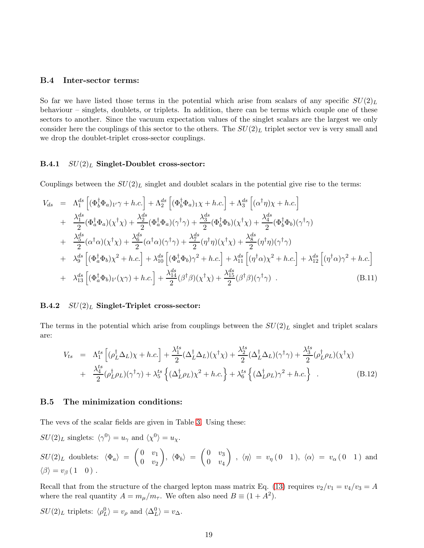#### B.4 Inter-sector terms:

So far we have listed those terms in the potential which arise from scalars of any specific  $SU(2)_L$ behaviour – singlets, doublets, or triplets. In addition, there can be terms which couple one of these sectors to another. Since the vacuum expectation values of the singlet scalars are the largest we only consider here the couplings of this sector to the others. The  $SU(2)_L$  triplet sector vev is very small and we drop the doublet-triplet cross-sector couplings.

#### **B.4.1**  $SU(2)<sub>L</sub>$  Singlet-Doublet cross-sector:

Couplings between the  $SU(2)_L$  singlet and doublet scalars in the potential give rise to the terms:

<span id="page-18-0"></span>
$$
V_{ds} = \Lambda_1^{ds} \left[ (\Phi_b^{\dagger} \Phi_a)_{1'} \gamma + h.c. \right] + \Lambda_2^{ds} \left[ (\Phi_b^{\dagger} \Phi_a)_{1} \chi + h.c. \right] + \Lambda_3^{ds} \left[ (\alpha^{\dagger} \eta) \chi + h.c. \right]
$$
  
+ 
$$
\frac{\lambda_1^{ds}}{2} (\Phi_a^{\dagger} \Phi_a) (\chi^{\dagger} \chi) + \frac{\lambda_2^{ds}}{2} (\Phi_a^{\dagger} \Phi_a) (\gamma^{\dagger} \gamma) + \frac{\lambda_3^{ds}}{2} (\Phi_b^{\dagger} \Phi_b) (\chi^{\dagger} \chi) + \frac{\lambda_4^{ds}}{2} (\Phi_b^{\dagger} \Phi_b) (\gamma^{\dagger} \gamma)
$$
  
+ 
$$
\frac{\lambda_5^{ds}}{2} (\alpha^{\dagger} \alpha) (\chi^{\dagger} \chi) + \frac{\lambda_6^{ds}}{2} (\alpha^{\dagger} \alpha) (\gamma^{\dagger} \gamma) + \frac{\lambda_7^{ds}}{2} (\eta^{\dagger} \eta) (\chi^{\dagger} \chi) + \frac{\lambda_8^{ds}}{2} (\eta^{\dagger} \eta) (\gamma^{\dagger} \gamma)
$$
  
+ 
$$
\lambda_9^{ds} \left[ (\Phi_a^{\dagger} \Phi_b) \chi^2 + h.c. \right] + \lambda_{10}^{ds} \left[ (\Phi_a^{\dagger} \Phi_b) \gamma^2 + h.c. \right] + \lambda_{11}^{ds} \left[ (\eta^{\dagger} \alpha) \chi^2 + h.c. \right] + \lambda_{12}^{ds} \left[ (\eta^{\dagger} \alpha) \gamma^2 + h.c. \right]
$$
  
+ 
$$
\lambda_{13}^{ds} \left[ (\Phi_a^{\dagger} \Phi_b)_{1'} (\chi \gamma) + h.c. \right] + \frac{\lambda_{14}^{ds}}{2} (\beta^{\dagger} \beta) (\chi^{\dagger} \chi) + \frac{\lambda_{15}^{ds}}{2} (\beta^{\dagger} \beta) (\gamma^{\dagger} \gamma) .
$$
(B.11)

#### **B.4.2**  $SU(2)<sub>L</sub>$  Singlet-Triplet cross-sector:

The terms in the potential which arise from couplings between the  $SU(2)_L$  singlet and triplet scalars are:

$$
V_{ts} = \Lambda_1^{ts} \left[ (\rho_L^{\dagger} \Delta_L) \chi + h.c. \right] + \frac{\lambda_1^{ts}}{2} (\Delta_L^{\dagger} \Delta_L) (\chi^{\dagger} \chi) + \frac{\lambda_2^{ts}}{2} (\Delta_L^{\dagger} \Delta_L) (\gamma^{\dagger} \gamma) + \frac{\lambda_3^{ts}}{2} (\rho_L^{\dagger} \rho_L) (\chi^{\dagger} \chi) + \frac{\lambda_4^{ts}}{2} (\rho_L^{\dagger} \rho_L) (\gamma^{\dagger} \gamma) + \lambda_5^{ts} \left\{ (\Delta_L^{\dagger} \rho_L) \chi^2 + h.c. \right\} + \lambda_6^{ts} \left\{ (\Delta_L^{\dagger} \rho_L) \gamma^2 + h.c. \right\} .
$$
 (B.12)

#### B.5 The minimization conditions:

The vevs of the scalar fields are given in Table [3.](#page-4-0) Using these:

$$
SU(2)_L \text{ singlets: } \langle \gamma^0 \rangle = u_\gamma \text{ and } \langle \chi^0 \rangle = u_\chi.
$$

$$
SU(2)_L \text{ doublets: } \langle \Phi_a \rangle = \begin{pmatrix} 0 & v_1 \\ 0 & v_2 \end{pmatrix}, \langle \Phi_b \rangle = \begin{pmatrix} 0 & v_3 \\ 0 & v_4 \end{pmatrix}, \langle \eta \rangle = v_{\eta} (0 \ 1), \langle \alpha \rangle = v_{\alpha} (0 \ 1) \text{ and } \langle \beta \rangle = v_{\beta} (1 \ 0).
$$

Recall that from the structure of the charged lepton mass matrix Eq. [\(13\)](#page-19-1) requires  $v_2/v_1 = v_4/v_3 = A$ where the real quantity  $A = m_{\mu}/m_{\tau}$ . We often also need  $B \equiv (1 + A^2)$ .

$$
SU(2)_L
$$
 triplets:  $\langle \rho_L^0 \rangle = v_\rho$  and  $\langle \Delta_L^0 \rangle = v_\Delta$ .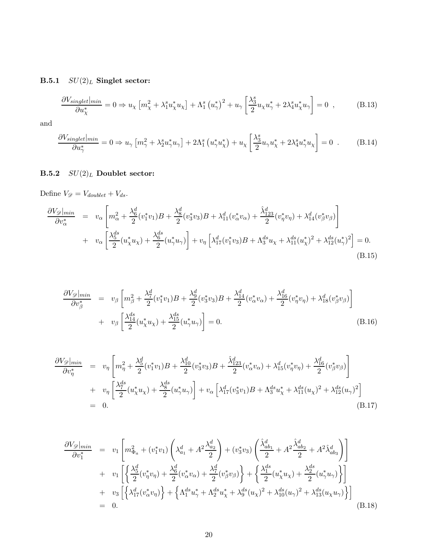B.5.1  $SU(2)_L$  Singlet sector:

<span id="page-19-1"></span>
$$
\frac{\partial V_{singlet}|_{min}}{\partial u_{\chi}^*} = 0 \Rightarrow u_{\chi} \left[ m_{\chi}^2 + \lambda_1^s u_{\chi}^* u_{\chi} \right] + \Lambda_1^s \left( u_{\gamma}^* \right)^2 + u_{\gamma} \left[ \frac{\lambda_3^s}{2} u_{\chi} u_{\gamma}^* + 2 \lambda_4^s u_{\chi}^* u_{\gamma} \right] = 0 \quad , \tag{B.13}
$$

and

$$
\frac{\partial V_{singlet}|_{min}}{\partial u_{\gamma}^{*}} = 0 \Rightarrow u_{\gamma} \left[ m_{\gamma}^{2} + \lambda_{2}^{s} u_{\gamma}^{*} u_{\gamma} \right] + 2\Lambda_{1}^{s} \left( u_{\gamma}^{*} u_{\chi}^{*} \right) + u_{\chi} \left[ \frac{\lambda_{3}^{s}}{2} u_{\gamma} u_{\chi}^{*} + 2\lambda_{4}^{s} u_{\gamma}^{*} u_{\chi} \right] = 0 \quad . \tag{B.14}
$$

# B.5.2  $SU(2)_L$  Doublet sector:

Define  $V_{\mathscr{D}}=V_{doublet}+V_{ds}.$ 

$$
\frac{\partial V_{\mathscr{D}}|_{min}}{\partial v_{\alpha}^{*}} = v_{\alpha} \left[ m_{\alpha}^{2} + \frac{\lambda_{6}^{d}}{2} (v_{1}^{*} v_{1}) B + \frac{\lambda_{8}^{d}}{2} (v_{3}^{*} v_{3}) B + \lambda_{11}^{d} (v_{\alpha}^{*} v_{\alpha}) + \frac{\hat{\lambda}_{123}^{d}}{2} (v_{\eta}^{*} v_{\eta}) + \lambda_{14}^{d} (v_{\beta}^{*} v_{\beta}) \right] + v_{\alpha} \left[ \frac{\lambda_{5}^{ds}}{2} (u_{\chi}^{*} u_{\chi}) + \frac{\lambda_{6}^{ds}}{2} (u_{\gamma}^{*} u_{\gamma}) \right] + v_{\eta} \left[ \lambda_{17}^{d} (v_{1}^{*} v_{3}) B + \Lambda_{3}^{ds} u_{\chi} + \lambda_{11}^{ds} (u_{\chi}^{*})^{2} + \lambda_{12}^{ds} (u_{\gamma}^{*})^{2} \right] = 0.
$$
\n(B.15)

$$
\frac{\partial V_{\mathscr{D}}|_{min}}{\partial v_{\beta}^{*}} = v_{\beta} \left[ m_{\beta}^{2} + \frac{\lambda_{7}^{d}}{2} (v_{1}^{*} v_{1}) B + \frac{\lambda_{9}^{d}}{2} (v_{3}^{*} v_{3}) B + \frac{\lambda_{14}^{d}}{2} (v_{\alpha}^{*} v_{\alpha}) + \frac{\lambda_{16}^{d}}{2} (v_{\eta}^{*} v_{\eta}) + \lambda_{18}^{d} (v_{\beta}^{*} v_{\beta}) \right] + v_{\beta} \left[ \frac{\lambda_{14}^{ds}}{2} (u_{\chi}^{*} u_{\chi}) + \frac{\lambda_{15}^{ds}}{2} (u_{\gamma}^{*} u_{\gamma}) \right] = 0.
$$
\n(B.16)

<span id="page-19-0"></span>
$$
\frac{\partial V_{\mathscr{D}}|_{min}}{\partial v_{\eta}^{*}} = v_{\eta} \left[ m_{\eta}^{2} + \frac{\lambda_{5}^{d}}{2} (v_{1}^{*} v_{1}) B + \frac{\lambda_{10}^{d}}{2} (v_{3}^{*} v_{3}) B + \frac{\hat{\lambda}_{123}^{d}}{2} (v_{\alpha}^{*} v_{\alpha}) + \lambda_{15}^{d} (v_{\eta}^{*} v_{\eta}) + \frac{\lambda_{16}^{d}}{2} (v_{\beta}^{*} v_{\beta}) \right] + v_{\eta} \left[ \frac{\lambda_{7}^{ds}}{2} (u_{\chi}^{*} u_{\chi}) + \frac{\lambda_{8}^{ds}}{2} (u_{\gamma}^{*} u_{\gamma}) \right] + v_{\alpha} \left[ \lambda_{17}^{d} (v_{3}^{*} v_{1}) B + \Lambda_{3}^{ds} u_{\chi}^{*} + \lambda_{11}^{ds} (u_{\chi})^{2} + \lambda_{12}^{ds} (u_{\gamma})^{2} \right] = 0.
$$
\n(B.17)

$$
\frac{\partial V_{\mathscr{D}}|_{min}}{\partial v_{1}^{*}} = v_{1} \left[ m_{\Phi_{a}}^{2} + (v_{1}^{*}v_{1}) \left( \lambda_{a_{1}}^{d} + A^{2} \frac{\lambda_{a_{2}}^{d}}{2} \right) + (v_{3}^{*}v_{3}) \left( \frac{\hat{\lambda}_{ab_{1}}^{d}}{2} + A^{2} \frac{\hat{\lambda}_{ab_{2}}^{d}}{2} + A^{2} \hat{\lambda}_{ab_{3}}^{d} \right) \right] \n+ v_{1} \left[ \left\{ \frac{\lambda_{5}^{d}}{2} (v_{\eta}^{*} v_{\eta}) + \frac{\lambda_{6}^{d}}{2} (v_{\alpha}^{*} v_{\alpha}) + \frac{\lambda_{7}^{d}}{2} (v_{\beta}^{*} v_{\beta}) \right\} + \left\{ \frac{\lambda_{1}^{ds}}{2} (u_{\chi}^{*} u_{\chi}) + \frac{\lambda_{2}^{ds}}{2} (u_{\gamma}^{*} u_{\gamma}) \right\} \right] \n+ v_{3} \left[ \left\{ \lambda_{17}^{d} (v_{\alpha}^{*} v_{\eta}) \right\} + \left\{ \Lambda_{1}^{ds} u_{\gamma}^{*} + \Lambda_{2}^{ds} u_{\chi}^{*} + \lambda_{9}^{ds} (u_{\chi})^{2} + \lambda_{10}^{ds} (u_{\gamma})^{2} + \lambda_{13}^{ds} (u_{\chi} u_{\gamma}) \right\} \right] \n= 0.
$$
\n(B.18)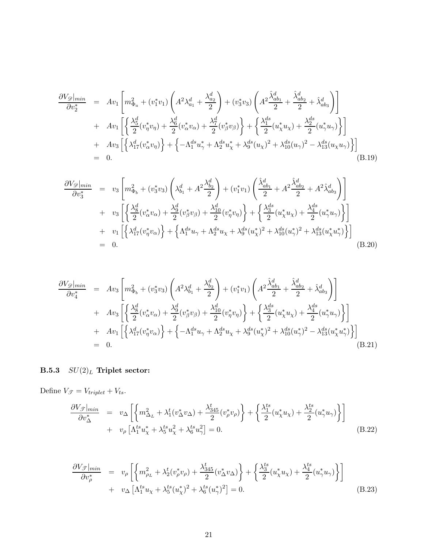$$
\frac{\partial V_{\mathscr{D}}|_{min}}{\partial v_{2}^{*}} = Av_{1}\left[m_{\Phi_{a}}^{2} + (v_{1}^{*}v_{1})\left(A^{2}\lambda_{a_{1}}^{d} + \frac{\lambda_{a_{2}}^{d}}{2}\right) + (v_{3}^{*}v_{3})\left(A^{2}\frac{\hat{\lambda}_{ab_{1}}^{d}}{2} + \frac{\hat{\lambda}_{ab_{2}}^{d}}{2} + \hat{\lambda}_{ab_{3}}^{d}\right)\right] \n+ Av_{1}\left[\left\{\frac{\lambda_{5}^{d}}{2}(v_{\eta}^{*}v_{\eta}) + \frac{\lambda_{6}^{d}}{2}(v_{\alpha}^{*}v_{\alpha}) + \frac{\lambda_{7}^{d}}{2}(v_{\beta}^{*}v_{\beta})\right\} + \left\{\frac{\lambda_{1}^{ds}}{2}(u_{\chi}^{*}u_{\chi}) + \frac{\lambda_{2}^{ds}}{2}(u_{\gamma}^{*}u_{\gamma})\right\}\right] \n+ Av_{3}\left[\left\{\lambda_{17}^{d}(v_{\alpha}^{*}v_{\eta})\right\} + \left\{-\Lambda_{1}^{ds}u_{\gamma}^{*} + \Lambda_{2}^{ds}u_{\chi}^{*} + \lambda_{9}^{ds}(u_{\chi})^{2} + \lambda_{10}^{ds}(u_{\gamma})^{2} - \lambda_{13}^{ds}(u_{\chi}u_{\gamma})\right\}\right] \n= 0.
$$
\n(B.19)

$$
\frac{\partial V_{\mathscr{D}}|_{min}}{\partial v_{3}^{*}} = v_{3} \left[ m_{\Phi_{b}}^{2} + (v_{3}^{*}v_{3}) \left( \lambda_{b_{1}}^{d} + A^{2} \frac{\lambda_{b_{2}}^{d}}{2} \right) + (v_{1}^{*}v_{1}) \left( \frac{\hat{\lambda}_{ab_{1}}^{d}}{2} + A^{2} \frac{\hat{\lambda}_{ab_{2}}^{d}}{2} + A^{2} \hat{\lambda}_{ab_{3}}^{d} \right) \right] \n+ v_{3} \left[ \left\{ \frac{\lambda_{8}^{d}}{2} (v_{\alpha}^{*} v_{\alpha}) + \frac{\lambda_{9}^{d}}{2} (v_{\beta}^{*} v_{\beta}) + \frac{\lambda_{10}^{d}}{2} (v_{\eta}^{*} v_{\eta}) \right\} + \left\{ \frac{\lambda_{3}^{ds}}{2} (u_{\chi}^{*} u_{\chi}) + \frac{\lambda_{4}^{ds}}{2} (u_{\gamma}^{*} u_{\gamma}) \right\} \right] \n+ v_{1} \left[ \left\{ \lambda_{17}^{d} (v_{\eta}^{*} v_{\alpha}) \right\} + \left\{ \Lambda_{1}^{ds} u_{\gamma} + \Lambda_{2}^{ds} u_{\chi} + \lambda_{9}^{ds} (u_{\chi}^{*})^{2} + \lambda_{10}^{ds} (u_{\gamma}^{*})^{2} + \lambda_{13}^{ds} (u_{\chi}^{*} u_{\gamma}^{*}) \right\} \right] \n= 0.
$$
\n(B.20)

$$
\frac{\partial V_{\mathscr{D}}|_{min}}{\partial v_{4}^{*}} = A v_{3} \left[ m_{\Phi_{b}}^{2} + (v_{3}^{*} v_{3}) \left( A^{2} \lambda_{b_{1}}^{d} + \frac{\lambda_{b_{2}}^{d}}{2} \right) + (v_{1}^{*} v_{1}) \left( A^{2} \frac{\hat{\lambda}_{ab_{1}}^{d}}{2} + \frac{\hat{\lambda}_{ab_{2}}^{d}}{2} + \hat{\lambda}_{ab_{3}}^{d} \right) \right] \n+ A v_{3} \left[ \left\{ \frac{\lambda_{8}^{d}}{2} (v_{\alpha}^{*} v_{\alpha}) + \frac{\lambda_{9}^{d}}{2} (v_{\beta}^{*} v_{\beta}) + \frac{\lambda_{10}^{d}}{2} (v_{\eta}^{*} v_{\eta}) \right\} + \left\{ \frac{\lambda_{3}^{ds}}{2} (u_{\chi}^{*} u_{\chi}) + \frac{\lambda_{4}^{ds}}{2} (u_{\gamma}^{*} u_{\gamma}) \right\} \right] \n+ A v_{1} \left[ \left\{ \lambda_{17}^{d} (v_{\eta}^{*} v_{\alpha}) \right\} + \left\{ -\Lambda_{1}^{ds} u_{\gamma} + \Lambda_{2}^{ds} u_{\chi} + \lambda_{9}^{ds} (u_{\chi}^{*})^{2} + \lambda_{10}^{ds} (u_{\gamma}^{*})^{2} - \lambda_{13}^{ds} (u_{\chi}^{*} u_{\gamma}^{*}) \right\} \right] \n= 0.
$$
\n(B.21)

# B.5.3  $SU(2)_L$  Triplet sector:

Define  $V_{\mathcal{T}} = V_{triplet} + V_{ts}$ .

$$
\frac{\partial V_{\mathcal{F}}|_{min}}{\partial v_{\Delta}^{*}} = v_{\Delta} \left[ \left\{ m_{\Delta_{L}}^{2} + \lambda_{1}^{t} (v_{\Delta}^{*} v_{\Delta}) + \frac{\lambda_{345}^{t}}{2} (v_{\rho}^{*} v_{\rho}) \right\} + \left\{ \frac{\lambda_{1}^{ts}}{2} (u_{\chi}^{*} u_{\chi}) + \frac{\lambda_{2}^{ts}}{2} (u_{\gamma}^{*} u_{\gamma}) \right\} \right] + v_{\rho} \left[ \Lambda_{1}^{ts} u_{\chi}^{*} + \lambda_{5}^{ts} u_{\chi}^{2} + \lambda_{6}^{ts} u_{\gamma}^{2} \right] = 0.
$$
\n(B.22)

$$
\frac{\partial V_{\mathcal{F}}|_{min}}{\partial v_{\rho}^{*}} = v_{\rho} \left[ \left\{ m_{\rho_{L}}^{2} + \lambda_{2}^{t} (v_{\rho}^{*} v_{\rho}) + \frac{\lambda_{345}^{t}}{2} (v_{\Delta}^{*} v_{\Delta}) \right\} + \left\{ \frac{\lambda_{3}^{ts}}{2} (u_{\chi}^{*} u_{\chi}) + \frac{\lambda_{4}^{ts}}{2} (u_{\gamma}^{*} u_{\gamma}) \right\} \right] + v_{\Delta} \left[ \Lambda_{1}^{ts} u_{\chi} + \lambda_{5}^{ts} (u_{\chi}^{*})^{2} + \lambda_{6}^{ts} (u_{\gamma}^{*})^{2} \right] = 0.
$$
\n(B.23)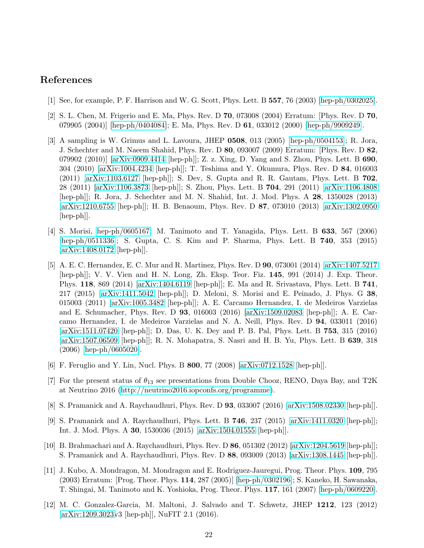## <span id="page-21-0"></span>References

- <span id="page-21-1"></span>[1] See, for example, P. F. Harrison and W. G. Scott, Phys. Lett. B 557, 76 (2003) [\[hep-ph/0302025\]](http://arxiv.org/abs/hep-ph/0302025).
- <span id="page-21-2"></span>[2] S. L. Chen, M. Frigerio and E. Ma, Phys. Rev. D 70, 073008 (2004) Erratum: [Phys. Rev. D 70, 079905 (2004)] [\[hep-ph/0404084\]](http://arxiv.org/abs/hep-ph/0404084); E. Ma, Phys. Rev. D 61, 033012 (2000) [\[hep-ph/9909249\]](http://arxiv.org/abs/hep-ph/9909249).
- [3] A sampling is W. Grimus and L. Lavoura, JHEP 0508, 013 (2005) [\[hep-ph/0504153\]](http://arxiv.org/abs/hep-ph/0504153); R. Jora, J. Schechter and M. Naeem Shahid, Phys. Rev. D 80, 093007 (2009) Erratum: [Phys. Rev. D 82, 079902 (2010)] [\[arXiv:0909.4414](http://arxiv.org/abs/0909.4414) [hep-ph]]; Z. z. Xing, D. Yang and S. Zhou, Phys. Lett. B 690, 304 (2010) [\[arXiv:1004.4234](http://arxiv.org/abs/1004.4234) [hep-ph]]; T. Teshima and Y. Okumura, Phys. Rev. D 84, 016003 (2011) [\[arXiv:1103.6127](http://arxiv.org/abs/1103.6127) [hep-ph]]; S. Dev, S. Gupta and R. R. Gautam, Phys. Lett. B 702, 28 (2011) [\[arXiv:1106.3873](http://arxiv.org/abs/1106.3873) [hep-ph]]; S. Zhou, Phys. Lett. B 704, 291 (2011) [\[arXiv:1106.4808](http://arxiv.org/abs/1106.4808) [hep-ph]]; R. Jora, J. Schechter and M. N. Shahid, Int. J. Mod. Phys. A 28, 1350028 (2013) [\[arXiv:1210.6755](http://arxiv.org/abs/1210.6755) [hep-ph]]; H. B. Benaoum, Phys. Rev. D 87, 073010 (2013) [\[arXiv:1302.0950](http://arxiv.org/abs/1302.0950) [hep-ph]].
- <span id="page-21-3"></span>[4] S. Morisi, [hep-ph/0605167;](http://arxiv.org/abs/hep-ph/0605167) M. Tanimoto and T. Yanagida, Phys. Lett. B 633, 567 (2006) [\[hep-ph/0511336\]](http://arxiv.org/abs/hep-ph/0511336); S. Gupta, C. S. Kim and P. Sharma, Phys. Lett. B 740, 353 (2015) [\[arXiv:1408.0172](http://arxiv.org/abs/1408.0172) [hep-ph]].
- <span id="page-21-4"></span>[5] A. E. C. Hernandez, E. C. Mur and R. Martinez, Phys. Rev. D 90, 073001 (2014) [\[arXiv:1407.5217](http://arxiv.org/abs/1407.5217) [hep-ph]]; V. V. Vien and H. N. Long, Zh. Eksp. Teor. Fiz. 145, 991 (2014) J. Exp. Theor. Phys. 118, 869 (2014) [\[arXiv:1404.6119](http://arxiv.org/abs/1404.6119) [hep-ph]]; E. Ma and R. Srivastava, Phys. Lett. B 741, 217 (2015) [\[arXiv:1411.5042](http://arxiv.org/abs/1411.5042) [hep-ph]]; D. Meloni, S. Morisi and E. Peinado, J. Phys. G 38, 015003 (2011) [\[arXiv:1005.3482](http://arxiv.org/abs/1005.3482) [hep-ph]]; A. E. Carcamo Hernandez, I. de Medeiros Varzielas and E. Schumacher, Phys. Rev. D 93, 016003 (2016) [\[arXiv:1509.02083](http://arxiv.org/abs/1509.02083) [hep-ph]]; A. E. Carcamo Hernandez, I. de Medeiros Varzielas and N. A. Neill, Phys. Rev. D 94, 033011 (2016) [\[arXiv:1511.07420](http://arxiv.org/abs/1511.07420) [hep-ph]]; D. Das, U. K. Dey and P. B. Pal, Phys. Lett. B 753, 315 (2016) [\[arXiv:1507.06509](http://arxiv.org/abs/1507.06509) [hep-ph]]; R. N. Mohapatra, S. Nasri and H. B. Yu, Phys. Lett. B 639, 318 (2006) [\[hep-ph/0605020\]](http://arxiv.org/abs/hep-ph/0605020).
- <span id="page-21-6"></span><span id="page-21-5"></span>[6] F. Feruglio and Y. Lin, Nucl. Phys. B 800, 77 (2008) [\[arXiv:0712.1528](http://arxiv.org/abs/0712.1528) [hep-ph]].
- [7] For the present status of  $\theta_{13}$  see presentations from Double Chooz, RENO, Daya Bay, and T2K at Neutrino 2016 [\(http://neutrino2016.iopconfs.org/programme\)](http://neutrino2016.iopconfs.org/programme).
- <span id="page-21-8"></span><span id="page-21-7"></span>[8] S. Pramanick and A. Raychaudhuri, Phys. Rev. D 93, 033007 (2016) [\[arXiv:1508.02330](http://arxiv.org/abs/1508.02330) [hep-ph]].
- [9] S. Pramanick and A. Raychaudhuri, Phys. Lett. B  $746$ ,  $237$  (2015) [\[arXiv:1411.0320](http://arxiv.org/abs/1411.0320) [hep-ph]]; Int. J. Mod. Phys. A 30, 1530036 (2015) [\[arXiv:1504.01555](http://arxiv.org/abs/1504.01555) [hep-ph]].
- <span id="page-21-9"></span>[10] B. Brahmachari and A. Raychaudhuri, Phys. Rev. D 86, 051302 (2012) [\[arXiv:1204.5619](http://arxiv.org/abs/1204.5619) [hep-ph]]; S. Pramanick and A. Raychaudhuri, Phys. Rev. D 88, 093009 (2013) [\[arXiv:1308.1445](http://arxiv.org/abs/1308.1445) [hep-ph]].
- <span id="page-21-10"></span>[11] J. Kubo, A. Mondragon, M. Mondragon and E. Rodriguez-Jauregui, Prog. Theor. Phys. 109, 795 (2003) Erratum: [Prog. Theor. Phys. 114, 287 (2005)] [\[hep-ph/0302196\]](http://arxiv.org/abs/hep-ph/0302196); S. Kaneko, H. Sawanaka, T. Shingai, M. Tanimoto and K. Yoshioka, Prog. Theor. Phys. 117, 161 (2007) [\[hep-ph/0609220\]](http://arxiv.org/abs/hep-ph/0609220).
- <span id="page-21-11"></span>[12] M. C. Gonzalez-Garcia, M. Maltoni, J. Salvado and T. Schwetz, JHEP 1212, 123 (2012) [\[arXiv:1209.3023v](http://arxiv.org/abs/1209.3023)3 [hep-ph]], NuFIT 2.1 (2016).